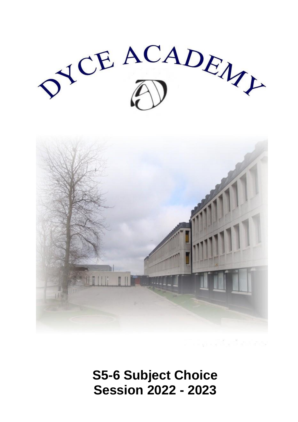



# **S5-6 Subject Choice Session 2022 - 2023**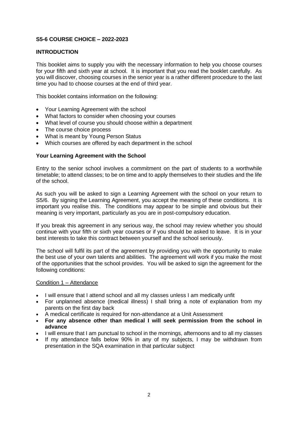# **S5-6 COURSE CHOICE – 2022-2023**

# **INTRODUCTION**

This booklet aims to supply you with the necessary information to help you choose courses for your fifth and sixth year at school. It is important that you read the booklet carefully. As you will discover, choosing courses in the senior year is a rather different procedure to the last time you had to choose courses at the end of third year.

This booklet contains information on the following:

- Your Learning Agreement with the school
- What factors to consider when choosing your courses
- What level of course you should choose within a department
- The course choice process
- What is meant by Young Person Status
- Which courses are offered by each department in the school

#### **Your Learning Agreement with the School**

Entry to the senior school involves a commitment on the part of students to a worthwhile timetable; to attend classes; to be on time and to apply themselves to their studies and the life of the school.

As such you will be asked to sign a Learning Agreement with the school on your return to S5/6. By signing the Learning Agreement, you accept the meaning of these conditions. It is important you realise this. The conditions may appear to be simple and obvious but their meaning is very important, particularly as you are in post-compulsory education.

If you break this agreement in any serious way, the school may review whether you should continue with your fifth or sixth year courses or if you should be asked to leave. It is in your best interests to take this contract between yourself and the school seriously.

The school will fulfil its part of the agreement by providing you with the opportunity to make the best use of your own talents and abilities. The agreement will work if you make the most of the opportunities that the school provides. You will be asked to sign the agreement for the following conditions:

#### Condition 1 – Attendance

- I will ensure that I attend school and all my classes unless I am medically unfit
- For unplanned absence (medical illness) I shall bring a note of explanation from my parents on the first day back
- A medical certificate is required for non-attendance at a Unit Assessment
- **For any absence other than medical I will seek permission from the school in advance**
- I will ensure that I am punctual to school in the mornings, afternoons and to all my classes
- If my attendance falls below 90% in any of my subjects, I may be withdrawn from presentation in the SQA examination in that particular subject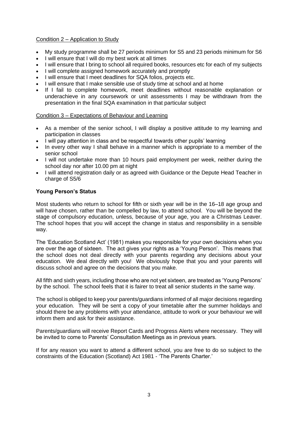# Condition 2 – Application to Study

- My study programme shall be 27 periods minimum for S5 and 23 periods minimum for S6
- I will ensure that I will do my best work at all times
- I will ensure that I bring to school all required books, resources etc for each of my subjects
- I will complete assigned homework accurately and promptly
- I will ensure that I meet deadlines for SQA folios, projects etc.
- I will ensure that I make sensible use of study time at school and at home
- If I fail to complete homework, meet deadlines without reasonable explanation or underachieve in any coursework or unit assessments I may be withdrawn from the presentation in the final SQA examination in that particular subject

# Condition 3 – Expectations of Behaviour and Learning

- As a member of the senior school, I will display a positive attitude to my learning and participation in classes
- I will pay attention in class and be respectful towards other pupils' learning
- In every other way I shall behave in a manner which is appropriate to a member of the senior school
- I will not undertake more than 10 hours paid employment per week, neither during the school day nor after 10.00 pm at night
- I will attend registration daily or as agreed with Guidance or the Depute Head Teacher in charge of S5/6

# **Young Person's Status**

Most students who return to school for fifth or sixth year will be in the 16–18 age group and will have chosen, rather than be compelled by law, to attend school. You will be beyond the stage of compulsory education, unless, because of your age, you are a Christmas Leaver. The school hopes that you will accept the change in status and responsibility in a sensible way.

The 'Education Scotland Act' (1981) makes you responsible for your own decisions when you are over the age of sixteen. The act gives your rights as a 'Young Person'. This means that the school does not deal directly with your parents regarding any decisions about your education. We deal directly with you! We obviously hope that you and your parents will discuss school and agree on the decisions that you make.

All fifth and sixth years, including those who are not yet sixteen, are treated as 'Young Persons' by the school. The school feels that it is fairer to treat all senior students in the same way.

The school is obliged to keep your parents/guardians informed of all major decisions regarding your education. They will be sent a copy of your timetable after the summer holidays and should there be any problems with your attendance, attitude to work or your behaviour we will inform them and ask for their assistance.

Parents/guardians will receive Report Cards and Progress Alerts where necessary. They will be invited to come to Parents' Consultation Meetings as in previous years.

If for any reason you want to attend a different school, you are free to do so subject to the constraints of the Education (Scotland) Act 1981 - 'The Parents Charter.'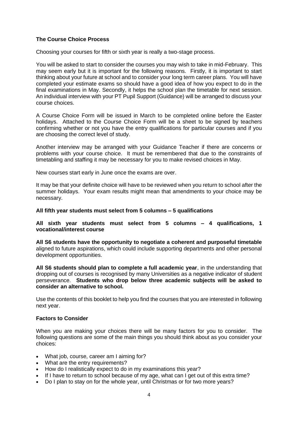# **The Course Choice Process**

Choosing your courses for fifth or sixth year is really a two-stage process.

You will be asked to start to consider the courses you may wish to take in mid-February. This may seem early but it is important for the following reasons. Firstly, it is important to start thinking about your future at school and to consider your long term career plans. You will have completed your estimate exams so should have a good idea of how you expect to do in the final examinations in May. Secondly, it helps the school plan the timetable for next session. An individual interview with your PT Pupil Support (Guidance) will be arranged to discuss your course choices.

A Course Choice Form will be issued in March to be completed online before the Easter holidays. Attached to the Course Choice Form will be a sheet to be signed by teachers confirming whether or not you have the entry qualifications for particular courses and if you are choosing the correct level of study.

Another interview may be arranged with your Guidance Teacher if there are concerns or problems with your course choice. It must be remembered that due to the constraints of timetabling and staffing it may be necessary for you to make revised choices in May.

New courses start early in June once the exams are over.

It may be that your definite choice will have to be reviewed when you return to school after the summer holidays. Your exam results might mean that amendments to your choice may be necessary.

#### **All fifth year students must select from 5 columns – 5 qualifications**

#### **All sixth year students must select from 5 columns – 4 qualifications, 1 vocational/interest course**

**All S6 students have the opportunity to negotiate a coherent and purposeful timetable**  aligned to future aspirations, which could include supporting departments and other personal development opportunities.

**All S6 students should plan to complete a full academic year**, in the understanding that dropping out of courses is recognised by many Universities as a negative indicator of student perseverance. **Students who drop below three academic subjects will be asked to consider an alternative to school.**

Use the contents of this booklet to help you find the courses that you are interested in following next year.

#### **Factors to Consider**

When you are making your choices there will be many factors for you to consider. The following questions are some of the main things you should think about as you consider your choices:

- What job, course, career am I aiming for?
- What are the entry requirements?
- How do I realistically expect to do in my examinations this year?
- If I have to return to school because of my age, what can I get out of this extra time?
- Do I plan to stay on for the whole year, until Christmas or for two more years?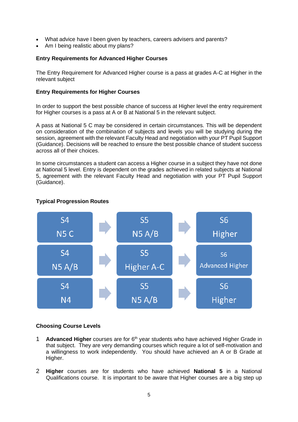- What advice have I been given by teachers, careers advisers and parents?
- Am I being realistic about my plans?

# **Entry Requirements for Advanced Higher Courses**

The Entry Requirement for Advanced Higher course is a pass at grades A-C at Higher in the relevant subject

#### **Entry Requirements for Higher Courses**

In order to support the best possible chance of success at Higher level the entry requirement for Higher courses is a pass at A or B at National 5 in the relevant subject.

A pass at National 5 C may be considered in certain circumstances. This will be dependent on consideration of the combination of subjects and levels you will be studying during the session, agreement with the relevant Faculty Head and negotiation with your PT Pupil Support (Guidance). Decisions will be reached to ensure the best possible chance of student success across all of their choices.

In some circumstances a student can access a Higher course in a subject they have not done at National 5 level. Entry is dependent on the grades achieved in related subjects at National 5, agreement with the relevant Faculty Head and negotiation with your PT Pupil Support (Guidance).



# **Typical Progression Routes**

#### **Choosing Course Levels**

- 1 **Advanced Higher** courses are for 6<sup>th</sup> year students who have achieved Higher Grade in that subject. They are very demanding courses which require a lot of self-motivation and a willingness to work independently. You should have achieved an A or B Grade at Higher.
- 2 **Higher** courses are for students who have achieved **National 5** in a National Qualifications course. It is important to be aware that Higher courses are a big step up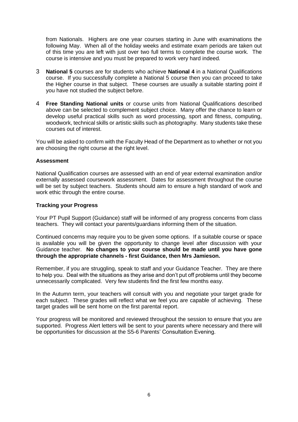from Nationals. Highers are one year courses starting in June with examinations the following May. When all of the holiday weeks and estimate exam periods are taken out of this time you are left with just over two full terms to complete the course work. The course is intensive and you must be prepared to work very hard indeed.

- 3 **National 5** courses are for students who achieve **National 4** in a National Qualifications course. If you successfully complete a National 5 course then you can proceed to take the Higher course in that subject. These courses are usually a suitable starting point if you have not studied the subject before.
- 4 **Free Standing National units** or course units from National Qualifications described above can be selected to complement subject choice. Many offer the chance to learn or develop useful practical skills such as word processing, sport and fitness, computing, woodwork, technical skills or artistic skills such as photography. Many students take these courses out of interest.

You will be asked to confirm with the Faculty Head of the Department as to whether or not you are choosing the right course at the right level.

#### **Assessment**

National Qualification courses are assessed with an end of year external examination and/or externally assessed coursework assessment. Dates for assessment throughout the course will be set by subject teachers. Students should aim to ensure a high standard of work and work ethic through the entire course.

#### **Tracking your Progress**

Your PT Pupil Support (Guidance) staff will be informed of any progress concerns from class teachers. They will contact your parents/guardians informing them of the situation.

Continued concerns may require you to be given some options. If a suitable course or space is available you will be given the opportunity to change level after discussion with your Guidance teacher. **No changes to your course should be made until you have gone through the appropriate channels - first Guidance, then Mrs Jamieson.**

Remember, if you are struggling, speak to staff and your Guidance Teacher. They are there to help you. Deal with the situations as they arise and don't put off problems until they become unnecessarily complicated. Very few students find the first few months easy.

In the Autumn term, your teachers will consult with you and negotiate your target grade for each subject. These grades will reflect what we feel you are capable of achieving. These target grades will be sent home on the first parental report.

Your progress will be monitored and reviewed throughout the session to ensure that you are supported. Progress Alert letters will be sent to your parents where necessary and there will be opportunities for discussion at the S5-6 Parents' Consultation Evening.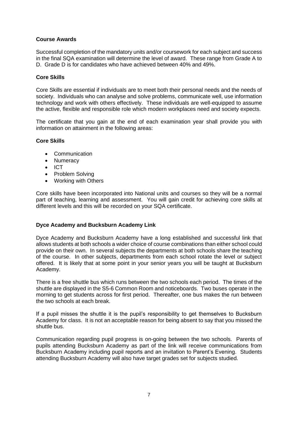# **Course Awards**

Successful completion of the mandatory units and/or coursework for each subject and success in the final SQA examination will determine the level of award. These range from Grade A to D. Grade D is for candidates who have achieved between 40% and 49%.

# **Core Skills**

Core Skills are essential if individuals are to meet both their personal needs and the needs of society. Individuals who can analyse and solve problems, communicate well, use information technology and work with others effectively. These individuals are well-equipped to assume the active, flexible and responsible role which modern workplaces need and society expects.

The certificate that you gain at the end of each examination year shall provide you with information on attainment in the following areas:

#### **Core Skills**

- Communication
- Numeracy
- ICT
- Problem Solving
- Working with Others

Core skills have been incorporated into National units and courses so they will be a normal part of teaching, learning and assessment. You will gain credit for achieving core skills at different levels and this will be recorded on your SQA certificate.

#### **Dyce Academy and Bucksburn Academy Link**

Dyce Academy and Bucksburn Academy have a long established and successful link that allows students at both schools a wider choice of course combinations than either school could provide on their own. In several subjects the departments at both schools share the teaching of the course. In other subjects, departments from each school rotate the level or subject offered. It is likely that at some point in your senior years you will be taught at Bucksburn Academy.

There is a free shuttle bus which runs between the two schools each period. The times of the shuttle are displayed in the S5-6 Common Room and noticeboards. Two buses operate in the morning to get students across for first period. Thereafter, one bus makes the run between the two schools at each break.

If a pupil misses the shuttle it is the pupil's responsibility to get themselves to Bucksburn Academy for class. It is not an acceptable reason for being absent to say that you missed the shuttle bus.

Communication regarding pupil progress is on-going between the two schools. Parents of pupils attending Bucksburn Academy as part of the link will receive communications from Bucksburn Academy including pupil reports and an invitation to Parent's Evening. Students attending Bucksburn Academy will also have target grades set for subjects studied.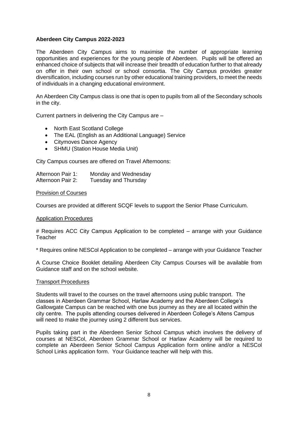#### **Aberdeen City Campus 2022-2023**

The Aberdeen City Campus aims to maximise the number of appropriate learning opportunities and experiences for the young people of Aberdeen. Pupils will be offered an enhanced choice of subjects that will increase their breadth of education further to that already on offer in their own school or school consortia. The City Campus provides greater diversification, including courses run by other educational training providers, to meet the needs of individuals in a changing educational environment.

An Aberdeen City Campus class is one that is open to pupils from all of the Secondary schools in the city.

Current partners in delivering the City Campus are –

- North East Scotland College
- The EAL (English as an Additional Language) Service
- Citymoves Dance Agency
- SHMU (Station House Media Unit)

City Campus courses are offered on Travel Afternoons:

Afternoon Pair 1: Monday and Wednesday Afternoon Pair 2: Tuesday and Thursday

#### Provision of Courses

Courses are provided at different SCQF levels to support the Senior Phase Curriculum.

#### Application Procedures

# Requires ACC City Campus Application to be completed – arrange with your Guidance **Teacher** 

\* Requires online NESCol Application to be completed – arrange with your Guidance Teacher

A Course Choice Booklet detailing Aberdeen City Campus Courses will be available from Guidance staff and on the school website.

#### Transport Procedures

Students will travel to the courses on the travel afternoons using public transport. The classes in Aberdeen Grammar School, Harlaw Academy and the Aberdeen College's Gallowgate Campus can be reached with one bus journey as they are all located within the city centre. The pupils attending courses delivered in Aberdeen College's Altens Campus will need to make the journey using 2 different bus services.

Pupils taking part in the Aberdeen Senior School Campus which involves the delivery of courses at NESCol, Aberdeen Grammar School or Harlaw Academy will be required to complete an Aberdeen Senior School Campus Application form online and/or a NESCol School Links application form. Your Guidance teacher will help with this.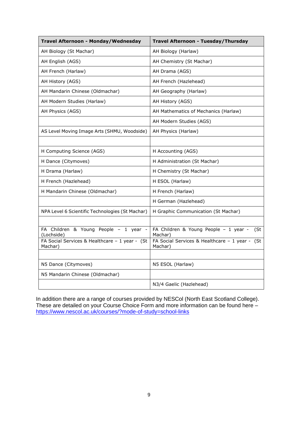| Travel Afternoon - Monday/Wednesday                       | Travel Afternoon - Tuesday/Thursday                          |
|-----------------------------------------------------------|--------------------------------------------------------------|
| AH Biology (St Machar)                                    | AH Biology (Harlaw)                                          |
| AH English (AGS)                                          | AH Chemistry (St Machar)                                     |
| AH French (Harlaw)                                        | AH Drama (AGS)                                               |
| AH History (AGS)                                          | AH French (Hazlehead)                                        |
| AH Mandarin Chinese (Oldmachar)                           | AH Geography (Harlaw)                                        |
| AH Modern Studies (Harlaw)                                | AH History (AGS)                                             |
| AH Physics (AGS)                                          | AH Mathematics of Mechanics (Harlaw)                         |
|                                                           | AH Modern Studies (AGS)                                      |
| AS Level Moving Image Arts (SHMU, Woodside)               | AH Physics (Harlaw)                                          |
|                                                           |                                                              |
| H Computing Science (AGS)                                 | H Accounting (AGS)                                           |
| H Dance (Citymoves)                                       | H Administration (St Machar)                                 |
| H Drama (Harlaw)                                          | H Chemistry (St Machar)                                      |
| H French (Hazlehead)                                      | H ESOL (Harlaw)                                              |
| H Mandarin Chinese (Oldmachar)                            | H French (Harlaw)                                            |
|                                                           | H German (Hazlehead)                                         |
| NPA Level 6 Scientific Technologies (St Machar)           | H Graphic Communication (St Machar)                          |
|                                                           |                                                              |
| FA Children & Young People - 1 year -<br>(Lochside)       | FA Children & Young People - 1 year -<br>(St<br>Machar)      |
| FA Social Services & Healthcare - 1 year - (St<br>Machar) | FA Social Services & Healthcare - 1 year -<br>(St<br>Machar) |
|                                                           |                                                              |
| N5 Dance (Citymoves)                                      | N5 ESOL (Harlaw)                                             |
| N5 Mandarin Chinese (Oldmachar)                           |                                                              |
|                                                           | N3/4 Gaelic (Hazlehead)                                      |

In addition there are a range of courses provided by NESCol (North East Scotland College). These are detailed on your Course Choice Form and more information can be found here – <https://www.nescol.ac.uk/courses/?mode-of-study=school-links>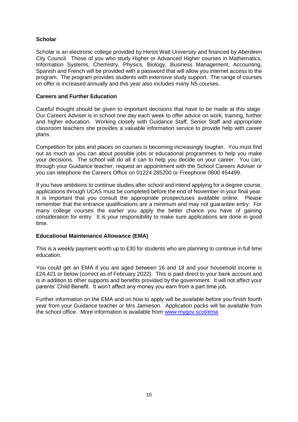# **Scholar**

Scholar is an electronic college provided by Heriot Watt University and financed by Aberdeen City Council. Those of you who study Higher or Advanced Higher courses in Mathematics, Information Systems, Chemistry, Physics, Biology, Business Management, Accounting, Spanish and French will be provided with a password that will allow you internet access to the program. The program provides students with extensive study support. The range of courses on offer is increased annually and this year also includes many N5 courses.

# **Careers and Further Education**

Careful thought should be given to important decisions that have to be made at this stage. Our Careers Adviser is in school one day each week to offer advice on work, training, further and higher education. Working closely with Guidance Staff, Senior Staff and appropriate classroom teachers she provides a valuable information service to provide help with career plans.

Competition for jobs and places on courses is becoming increasingly tougher. You must find out as much as you can about possible jobs or educational programmes to help you make your decisions. The school will do all it can to help you decide on your career. You can, through your Guidance teacher, request an appointment with the School Careers Adviser or you can telephone the Careers Office on 01224 285200 or Freephone 0800 454499.

If you have ambitions to continue studies after school and intend applying for a degree course, applications through UCAS must be completed before the end of November in your final year. It is important that you consult the appropriate prospectuses available online. Please remember that the entrance qualifications are a minimum and may not guarantee entry. For many college courses the earlier you apply the better chance you have of gaining consideration for entry. It is your responsibility to make sure applications are done in good time.

# **Educational Maintenance Allowance (EMA)**

This is a weekly payment worth up to £30 for students who are planning to continue in full time education.

You could get an EMA if you are aged between 16 and 18 and your household income is £24,421 or below (correct as of February 2022). This is paid direct to your bank account and is in addition to other supports and benefits provided by the government. It will not affect your parents' Child Benefit. It won't affect any money you earn from a part time job.

Further information on the EMA and on how to apply will be available before you finish fourth year from your Guidance teacher or Mrs Jamieson. Application packs will be available from the school office. More information is available from [www.m](http://www./)ygov.scot/ema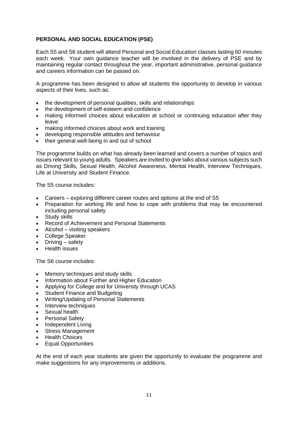# **PERSONAL AND SOCIAL EDUCATION (PSE)**

Each S5 and S6 student will attend Personal and Social Education classes lasting 60 minutes each week. Your own guidance teacher will be involved in the delivery of PSE and by maintaining regular contact throughout the year, important administrative, personal guidance and careers information can be passed on.

A programme has been designed to allow all students the opportunity to develop in various aspects of their lives, such as:

- the development of personal qualities, skills and relationships
- the development of self-esteem and confidence
- making informed choices about education at school or continuing education after they leave
- making informed choices about work and training
- developing responsible attitudes and behaviour
- their general well-being in and out of school

The programme builds on what has already been learned and covers a number of topics and issues relevant to young adults. Speakers are invited to give talks about various subjects such as Driving Skills, Sexual Health, Alcohol Awareness, Mental Health, Interview Techniques, Life at University and Student Finance.

The S5 course includes:

- Careers exploring different career routes and options at the end of S5
- Preparation for working life and how to cope with problems that may be encountered including personal safety
- Study skills
- Record of Achievement and Personal Statements
- Alcohol visiting speakers
- College Speaker
- Driving safety
- Health issues

The S6 course includes:

- Memory techniques and study skills
- Information about Further and Higher Education
- Applying for College and for University through UCAS
- **Student Finance and Budgeting**
- Writing/Updating of Personal Statements
- Interview techniques
- Sexual health
- **Personal Safety**
- Independent Living
- Stress Management
- Health Choices
- Equal Opportunities

At the end of each year students are given the opportunity to evaluate the programme and make suggestions for any improvements or additions.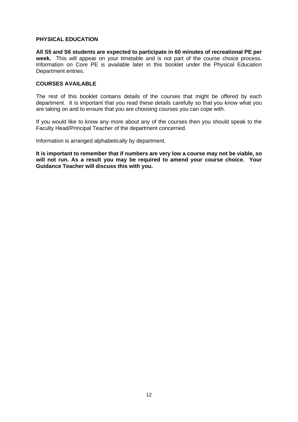#### **PHYSICAL EDUCATION**

**All S5 and S6 students are expected to participate in 60 minutes of recreational PE per week.** This will appear on your timetable and is not part of the course choice process. Information on Core PE is available later in this booklet under the Physical Education Department entries.

#### **COURSES AVAILABLE**

The rest of this booklet contains details of the courses that might be offered by each department. It is important that you read these details carefully so that you know what you are taking on and to ensure that you are choosing courses you can cope with.

If you would like to know any more about any of the courses then you should speak to the Faculty Head/Principal Teacher of the department concerned.

Information is arranged alphabetically by department.

**It is important to remember that if numbers are very low a course may not be viable, so will not run. As a result you may be required to amend your course choice. Your Guidance Teacher will discuss this with you.**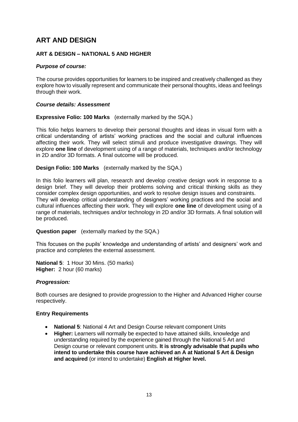# **ART AND DESIGN**

# **ART & DESIGN – NATIONAL 5 AND HIGHER**

# *Purpose of course:*

The course provides opportunities for learners to be inspired and creatively challenged as they explore how to visually represent and communicate their personal thoughts, ideas and feelings through their work.

# *Course details: Assessment*

**Expressive Folio: 100 Marks** (externally marked by the SQA.)

This folio helps learners to develop their personal thoughts and ideas in visual form with a critical understanding of artists' working practices and the social and cultural influences affecting their work. They will select stimuli and produce investigative drawings. They will explore **one line** of development using of a range of materials, techniques and/or technology in 2D and/or 3D formats. A final outcome will be produced.

**Design Folio: 100 Marks** (externally marked by the SQA.)

In this folio learners will plan, research and develop creative design work in response to a design brief. They will develop their problems solving and critical thinking skills as they consider complex design opportunities, and work to resolve design issues and constraints. They will develop critical understanding of designers' working practices and the social and cultural influences affecting their work. They will explore **one line** of development using of a range of materials, techniques and/or technology in 2D and/or 3D formats. A final solution will be produced.

**Question paper** (externally marked by the SQA.)

This focuses on the pupils' knowledge and understanding of artists' and designers' work and practice and completes the external assessment.

**National 5**: 1 Hour 30 Mins. (50 marks) **Higher:** 2 hour (60 marks)

# *Progression:*

Both courses are designed to provide progression to the Higher and Advanced Higher course respectively.

# **Entry Requirements**

- **National 5**: National 4 Art and Design Course relevant component Units
- **Higher:** Learners will normally be expected to have attained skills, knowledge and understanding required by the experience gained through the National 5 Art and Design course or relevant component units. **It is strongly advisable that pupils who intend to undertake this course have achieved an A at National 5 Art & Design and acquired** (or intend to undertake) **English at Higher level.**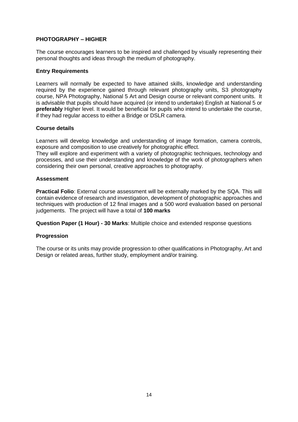# **PHOTOGRAPHY – HIGHER**

The course encourages learners to be inspired and challenged by visually representing their personal thoughts and ideas through the medium of photography.

#### **Entry Requirements**

Learners will normally be expected to have attained skills, knowledge and understanding required by the experience gained through relevant photography units, S3 photography course, NPA Photography, National 5 Art and Design course or relevant component units. It is advisable that pupils should have acquired (or intend to undertake) English at National 5 or **preferably** Higher level. It would be beneficial for pupils who intend to undertake the course, if they had regular access to either a Bridge or DSLR camera.

#### **Course details**

Learners will develop knowledge and understanding of image formation, camera controls, exposure and composition to use creatively for photographic effect.

They will explore and experiment with a variety of photographic techniques, technology and processes, and use their understanding and knowledge of the work of photographers when considering their own personal, creative approaches to photography.

#### **Assessment**

**Practical Folio**: External course assessment will be externally marked by the SQA. This will contain evidence of research and investigation, development of photographic approaches and techniques with production of 12 final images and a 500 word evaluation based on personal judgements. The project will have a total of **100 marks**

**Question Paper (1 Hour) - 30 Marks**: Multiple choice and extended response questions

# **Progression**

The course or its units may provide progression to other qualifications in Photography, Art and Design or related areas, further study, employment and/or training.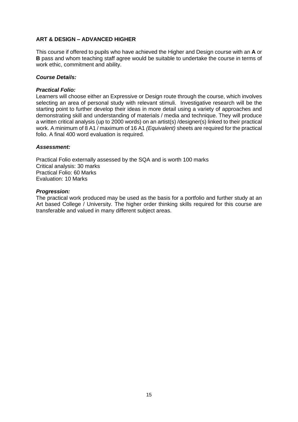# **ART & DESIGN – ADVANCED HIGHER**

This course if offered to pupils who have achieved the Higher and Design course with an **A** or **B** pass and whom teaching staff agree would be suitable to undertake the course in terms of work ethic, commitment and ability.

#### *Course Details:*

#### *Practical Folio:*

Learners will choose either an Expressive or Design route through the course, which involves selecting an area of personal study with relevant stimuli. Investigative research will be the starting point to further develop their ideas in more detail using a variety of approaches and demonstrating skill and understanding of materials / media and technique. They will produce a written critical analysis (up to 2000 words) on an artist(s) /designer(s) linked to their practical work. A minimum of 8 A1 / maximum of 16 A1 *(Equivalent)* sheets are required for the practical folio. A final 400 word evaluation is required.

#### *Assessment:*

Practical Folio externally assessed by the SQA and is worth 100 marks Critical analysis: 30 marks Practical Folio: 60 Marks Evaluation: 10 Marks

#### *Progression:*

The practical work produced may be used as the basis for a portfolio and further study at an Art based College / University. The higher order thinking skills required for this course are transferable and valued in many different subject areas.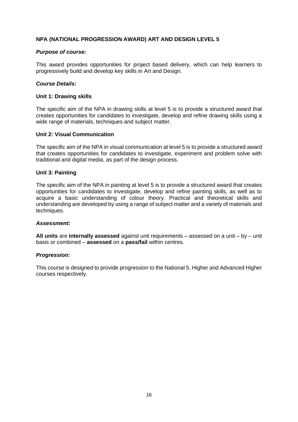# **NPA (NATIONAL PROGRESSION AWARD) ART AND DESIGN LEVEL 5**

# *Purpose of course:*

This award provides opportunities for project based delivery, which can help learners to progressively build and develop key skills in Art and Design.

#### *Course Details:*

#### **Unit 1: Drawing skills**

The specific aim of the NPA in drawing skills at level 5 is to provide a structured award that creates opportunities for candidates to investigate, develop and refine drawing skills using a wide range of materials, techniques and subject matter.

#### **Unit 2: Visual Communication**

The specific aim of the NPA in visual communication at level 5 is to provide a structured award that creates opportunities for candidates to investigate, experiment and problem solve with traditional and digital media, as part of the design process.

#### **Unit 3: Painting**

The specific aim of the NPA in painting at level 5 is to provide a structured award that creates opportunities for candidates to investigate, develop and refine painting skills, as well as to acquire a basic understanding of colour theory. Practical and theoretical skills and understanding are developed by using a range of subject matter and a variety of materials and techniques.

#### *Assessment:*

**All units** are **internally assessed** against unit requirements – assessed on a unit – by – unit basis or combined – **assessed** on a **pass/fail** within centres.

#### *Progression:*

This course is designed to provide progression to the National 5, Higher and Advanced Higher courses respectively.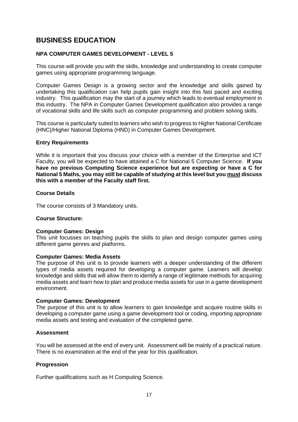# **BUSINESS EDUCATION**

# **NPA COMPUTER GAMES DEVELOPMENT - LEVEL 5**

This course will provide you with the skills, knowledge and understanding to create computer games using appropriate programming language.

Computer Games Design is a growing sector and the knowledge and skills gained by undertaking this qualification can help pupils gain insight into this fast paced and exciting industry. This qualification may the start of a journey which leads to eventual employment in this industry. The NPA in Computer Games Development qualification also provides a range of vocational skills and life skills such as computer programming and problem solving skills.

This course is particularly suited to learners who wish to progress to Higher National Certificate (HNC)/Higher National Diploma (HND) in Computer Games Development.

# **Entry Requirements**

While it is important that you discuss your choice with a member of the Enterprise and ICT Faculty, you will be expected to have attained a C for National 5 Computer Science. **If you have no previous Computing Science experience but are expecting or have a C for National 5 Maths, you may still be capable of studying at this level but you must discuss this with a member of the Faculty staff first.**

#### **Course Details**

The course consists of 3 Mandatory units.

# **Course Structure:**

#### **Computer Games: Design**

This unit focusses on teaching pupils the skills to plan and design computer games using different game genres and platforms.

#### **Computer Games: Media Assets**

The purpose of this unit is to provide learners with a deeper understanding of the different types of media assets required for developing a computer game. Learners will develop knowledge and skills that will allow them to identify a range of legitimate methods for acquiring media assets and learn how to plan and produce media assets for use in a game development environment.

#### **Computer Games: Development**

The purpose of this unit is to allow learners to gain knowledge and acquire routine skills in developing a computer game using a game development tool or coding, importing appropriate media assets and testing and evaluation of the completed game.

#### **Assessment**

You will be assessed at the end of every unit. Assessment will be mainly of a practical nature. There is no examination at the end of the year for this qualification.

# **Progression**

Further qualifications such as H Computing Science.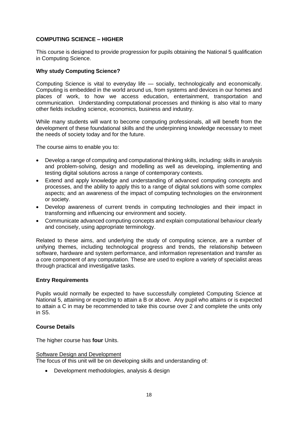# **COMPUTING SCIENCE – HIGHER**

This course is designed to provide progression for pupils obtaining the National 5 qualification in Computing Science.

# **Why study Computing Science?**

Computing Science is vital to everyday life — socially, technologically and economically. Computing is embedded in the world around us, from systems and devices in our homes and places of work, to how we access education, entertainment, transportation and communication. Understanding computational processes and thinking is also vital to many other fields including science, economics, business and industry.

While many students will want to become computing professionals, all will benefit from the development of these foundational skills and the underpinning knowledge necessary to meet the needs of society today and for the future.

The course aims to enable you to:

- Develop a range of computing and computational thinking skills, including: skills in analysis and problem-solving, design and modelling as well as developing, implementing and testing digital solutions across a range of contemporary contexts.
- Extend and apply knowledge and understanding of advanced computing concepts and processes, and the ability to apply this to a range of digital solutions with some complex aspects; and an awareness of the impact of computing technologies on the environment or society.
- Develop awareness of current trends in computing technologies and their impact in transforming and influencing our environment and society.
- Communicate advanced computing concepts and explain computational behaviour clearly and concisely, using appropriate terminology.

Related to these aims, and underlying the study of computing science, are a number of unifying themes, including technological progress and trends, the relationship between software, hardware and system performance, and information representation and transfer as a core component of any computation. These are used to explore a variety of specialist areas through practical and investigative tasks.

# **Entry Requirements**

Pupils would normally be expected to have successfully completed Computing Science at National 5, attaining or expecting to attain a B or above. Any pupil who attains or is expected to attain a C in may be recommended to take this course over 2 and complete the units only in S5.

# **Course Details**

The higher course has **four** Units.

# Software Design and Development

The focus of this unit will be on developing skills and understanding of:

• Development methodologies, analysis & design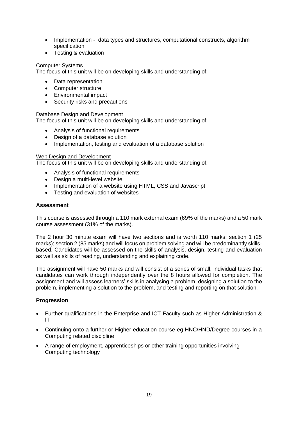- Implementation data types and structures, computational constructs, algorithm specification
- Testing & evaluation

# Computer Systems

The focus of this unit will be on developing skills and understanding of:

- Data representation
- Computer structure
- Environmental impact
- Security risks and precautions

# Database Design and Development

The focus of this unit will be on developing skills and understanding of:

- Analysis of functional requirements
- Design of a database solution
- Implementation, testing and evaluation of a database solution

# Web Design and Development

The focus of this unit will be on developing skills and understanding of:

- Analysis of functional requirements
- Design a multi-level website
- Implementation of a website using HTML, CSS and Javascript
- Testing and evaluation of websites

# **Assessment**

This course is assessed through a 110 mark external exam (69% of the marks) and a 50 mark course assessment (31% of the marks).

The 2 hour 30 minute exam will have two sections and is worth 110 marks: section 1 (25 marks); section 2 (85 marks) and will focus on problem solving and will be predominantly skillsbased. Candidates will be assessed on the skills of analysis, design, testing and evaluation as well as skills of reading, understanding and explaining code.

The assignment will have 50 marks and will consist of a series of small, individual tasks that candidates can work through independently over the 8 hours allowed for completion. The assignment and will assess learners' skills in analysing a problem, designing a solution to the problem, implementing a solution to the problem, and testing and reporting on that solution.

# **Progression**

- Further qualifications in the Enterprise and ICT Faculty such as Higher Administration & IT
- Continuing onto a further or Higher education course eg HNC/HND/Degree courses in a Computing related discipline
- A range of employment, apprenticeships or other training opportunities involving Computing technology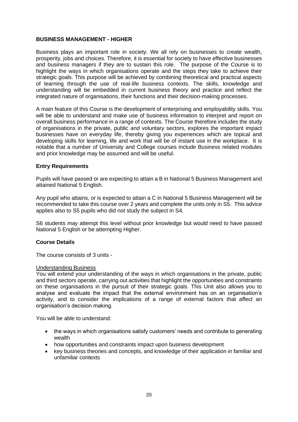#### **BUSINESS MANAGEMENT - HIGHER**

Business plays an important role in society. We all rely on businesses to create wealth, prosperity, jobs and choices. Therefore, it is essential for society to have effective businesses and business managers if they are to sustain this role. The purpose of the Course is to highlight the ways in which organisations operate and the steps they take to achieve their strategic goals. This purpose will be achieved by combining theoretical and practical aspects of learning through the use of real-life business contexts. The skills, knowledge and understanding will be embedded in current business theory and practice and reflect the integrated nature of organisations, their functions and their decision-making processes.

A main feature of this Course is the development of enterprising and employability skills. You will be able to understand and make use of business information to interpret and report on overall business performance in a range of contexts. The Course therefore includes the study of organisations in the private, public and voluntary sectors, explores the important impact businesses have on everyday life, thereby giving you experiences which are topical and developing skills for learning, life and work that will be of instant use in the workplace. It is notable that a number of University and College courses include Business related modules and prior knowledge may be assumed and will be useful.

# **Entry Requirements**

Pupils will have passed or are expecting to attain a B in National 5 Business Management and attained National 5 English.

Any pupil who attains, or is expected to attain a C in National 5 Business Management will be recommended to take this course over 2 years and complete the units only in S5. This advice applies also to S5 pupils who did not study the subject in S4.

S6 students may attempt this level without prior knowledge but would need to have passed National 5 English or be attempting Higher.

#### **Course Details**

The course consists of 3 units -

#### Understanding Business

You will extend your understanding of the ways in which organisations in the private, public and third sectors operate, carrying out activities that highlight the opportunities and constraints on these organisations in the pursuit of their strategic goals. This Unit also allows you to analyse and evaluate the impact that the external environment has on an organisation's activity, and to consider the implications of a range of external factors that affect an organisation's decision making.

You will be able to understand:

- the ways in which organisations satisfy customers' needs and contribute to generating wealth
- how opportunities and constraints impact upon business development
- key business theories and concepts, and knowledge of their application in familiar and unfamiliar contexts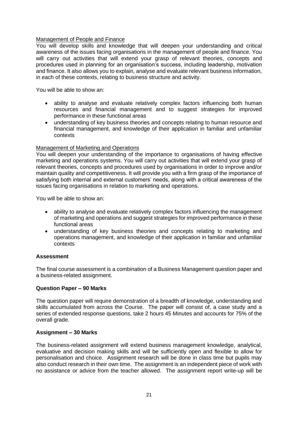# Management of People and Finance

You will develop skills and knowledge that will deepen your understanding and critical awareness of the issues facing organisations in the management of people and finance. You will carry out activities that will extend your grasp of relevant theories, concepts and procedures used in planning for an organisation's success, including leadership, motivation and finance. It also allows you to explain, analyse and evaluate relevant business information, in each of these contexts, relating to business structure and activity.

You will be able to show an:

- ability to analyse and evaluate relatively complex factors influencing both human resources and financial management and to suggest strategies for improved performance in these functional areas
- understanding of key business theories and concepts relating to human resource and financial management, and knowledge of their application in familiar and unfamiliar contexts

# Management of Marketing and Operations

You will deepen your understanding of the importance to organisations of having effective marketing and operations systems. You will carry out activities that will extend your grasp of relevant theories, concepts and procedures used by organisations in order to improve and/or maintain quality and competitiveness. It will provide you with a firm grasp of the importance of satisfying both internal and external customers' needs, along with a critical awareness of the issues facing organisations in relation to marketing and operations.

You will be able to show an:

- ability to analyse and evaluate relatively complex factors influencing the management of marketing and operations and suggest strategies for improved performance in these functional areas
- understanding of key business theories and concepts relating to marketing and operations management, and knowledge of their application in familiar and unfamiliar contexts

# **Assessment**

The final course assessment is a combination of a Business Management question paper and a business-related assignment.

#### **Question Paper – 90 Marks**

The question paper will require demonstration of a breadth of knowledge, understanding and skills accumulated from across the Course. The paper will consist of, a case study and a series of extended response questions, take 2 hours 45 Minutes and accounts for 75% of the overall grade.

# **Assignment – 30 Marks**

The business-related assignment will extend business management knowledge, analytical, evaluative and decision making skills and will be sufficiently open and flexible to allow for personalisation and choice. Assignment research will be done in class time but pupils may also conduct research in their own time. The assignment is an independent piece of work with no assistance or advice from the teacher allowed. The assignment report write-up will be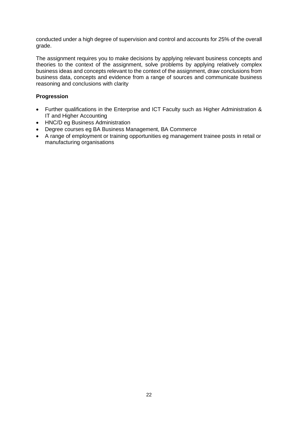conducted under a high degree of supervision and control and accounts for 25% of the overall grade.

The assignment requires you to make decisions by applying relevant business concepts and theories to the context of the assignment, solve problems by applying relatively complex business ideas and concepts relevant to the context of the assignment, draw conclusions from business data, concepts and evidence from a range of sources and communicate business reasoning and conclusions with clarity

# **Progression**

- Further qualifications in the Enterprise and ICT Faculty such as Higher Administration & IT and Higher Accounting
- HNC/D eg Business Administration
- Degree courses eg BA Business Management, BA Commerce
- A range of employment or training opportunities eg management trainee posts in retail or manufacturing organisations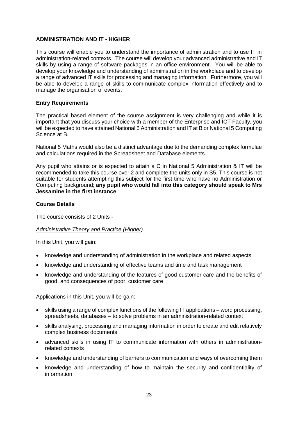# **ADMINISTRATION AND IT - HIGHER**

This course will enable you to understand the importance of administration and to use IT in administration-related contexts. The course will develop your advanced administrative and IT skills by using a range of software packages in an office environment. You will be able to develop your knowledge and understanding of administration in the workplace and to develop a range of advanced IT skills for processing and managing information. Furthermore, you will be able to develop a range of skills to communicate complex information effectively and to manage the organisation of events.

# **Entry Requirements**

The practical based element of the course assignment is very challenging and while it is important that you discuss your choice with a member of the Enterprise and ICT Faculty, you will be expected to have attained National 5 Administration and IT at B or National 5 Computing Science at B.

National 5 Maths would also be a distinct advantage due to the demanding complex formulae and calculations required in the Spreadsheet and Database elements.

Any pupil who attains or is expected to attain a C in National 5 Administration & IT will be recommended to take this course over 2 and complete the units only in S5. This course is not suitable for students attempting this subject for the first time who have no Administration or Computing background; **any pupil who would fall into this category should speak to Mrs Jessamine in the first instance**.

# **Course Details**

The course consists of 2 Units -

# *Administrative Theory and Practice (Higher)*

In this Unit, you will gain:

- knowledge and understanding of administration in the workplace and related aspects
- knowledge and understanding of effective teams and time and task management
- knowledge and understanding of the features of good customer care and the benefits of good, and consequences of poor, customer care

Applications in this Unit, you will be gain:

- skills using a range of complex functions of the following IT applications word processing, spreadsheets, databases – to solve problems in an administration-related context
- skills analysing, processing and managing information in order to create and edit relatively complex business documents
- advanced skills in using IT to communicate information with others in administrationrelated contexts
- knowledge and understanding of barriers to communication and ways of overcoming them
- knowledge and understanding of how to maintain the security and confidentiality of information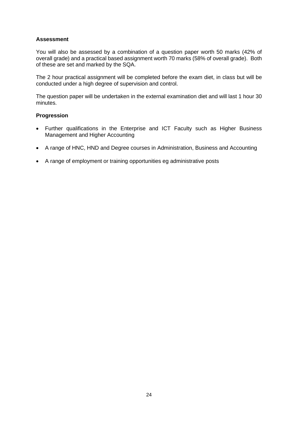# **Assessment**

You will also be assessed by a combination of a question paper worth 50 marks (42% of overall grade) and a practical based assignment worth 70 marks (58% of overall grade). Both of these are set and marked by the SQA.

The 2 hour practical assignment will be completed before the exam diet, in class but will be conducted under a high degree of supervision and control.

The question paper will be undertaken in the external examination diet and will last 1 hour 30 minutes.

#### **Progression**

- Further qualifications in the Enterprise and ICT Faculty such as Higher Business Management and Higher Accounting
- A range of HNC, HND and Degree courses in Administration, Business and Accounting
- A range of employment or training opportunities eg administrative posts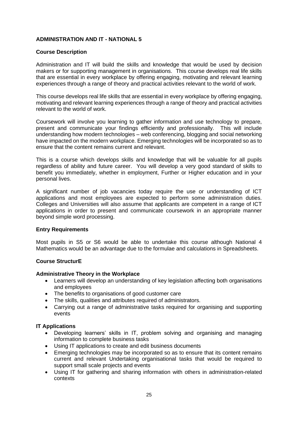# **ADMINISTRATION AND IT - NATIONAL 5**

#### **Course Description**

Administration and IT will build the skills and knowledge that would be used by decision makers or for supporting management in organisations. This course develops real life skills that are essential in every workplace by offering engaging, motivating and relevant learning experiences through a range of theory and practical activities relevant to the world of work.

This course develops real life skills that are essential in every workplace by offering engaging, motivating and relevant learning experiences through a range of theory and practical activities relevant to the world of work.

Coursework will involve you learning to gather information and use technology to prepare, present and communicate your findings efficiently and professionally. This will include understanding how modern technologies – web conferencing, blogging and social networking have impacted on the modern workplace. Emerging technologies will be incorporated so as to ensure that the content remains current and relevant.

This is a course which develops skills and knowledge that will be valuable for all pupils regardless of ability and future career. You will develop a very good standard of skills to benefit you immediately, whether in employment, Further or Higher education and in your personal lives.

A significant number of job vacancies today require the use or understanding of ICT applications and most employees are expected to perform some administration duties. Colleges and Universities will also assume that applicants are competent in a range of ICT applications in order to present and communicate coursework in an appropriate manner beyond simple word processing.

# **Entry Requirements**

Most pupils in S5 or S6 would be able to undertake this course although National 4 Mathematics would be an advantage due to the formulae and calculations in Spreadsheets.

# **Course StructurE**

#### **Administrative Theory in the Workplace**

- Learners will develop an understanding of key legislation affecting both organisations and employees
- The benefits to organisations of good customer care
- The skills, qualities and attributes required of administrators.
- Carrying out a range of administrative tasks required for organising and supporting events

#### **IT Applications**

- Developing learners' skills in IT, problem solving and organising and managing information to complete business tasks
- Using IT applications to create and edit business documents
- Emerging technologies may be incorporated so as to ensure that its content remains current and relevant Undertaking organisational tasks that would be required to support small scale projects and events
- Using IT for gathering and sharing information with others in administration-related contexts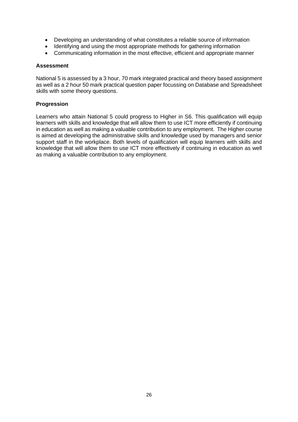- Developing an understanding of what constitutes a reliable source of information
- Identifying and using the most appropriate methods for gathering information
- Communicating information in the most effective, efficient and appropriate manner

# **Assessment**

National 5 is assessed by a 3 hour, 70 mark integrated practical and theory based assignment as well as a 2 hour 50 mark practical question paper focussing on Database and Spreadsheet skills with some theory questions.

#### **Progression**

Learners who attain National 5 could progress to Higher in S6. This qualification will equip learners with skills and knowledge that will allow them to use ICT more efficiently if continuing in education as well as making a valuable contribution to any employment. The Higher course is aimed at developing the administrative skills and knowledge used by managers and senior support staff in the workplace. Both levels of qualification will equip learners with skills and knowledge that will allow them to use ICT more effectively if continuing in education as well as making a valuable contribution to any employment.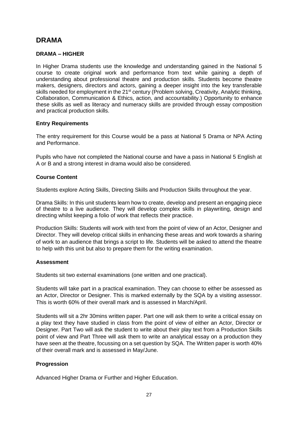# **DRAMA**

# **DRAMA – HIGHER**

In Higher Drama students use the knowledge and understanding gained in the National 5 course to create original work and performance from text while gaining a depth of understanding about professional theatre and production skills. Students become theatre makers, designers, directors and actors, gaining a deeper insight into the key transferable skills needed for employment in the 21<sup>st</sup> century (Problem solving, Creativity, Analytic thinking, Collaboration, Communication & Ethics, action, and accountability.) Opportunity to enhance these skills as well as literacy and numeracy skills are provided through essay composition and practical production skills.

# **Entry Requirements**

The entry requirement for this Course would be a pass at National 5 Drama or NPA Acting and Performance.

Pupils who have not completed the National course and have a pass in National 5 English at A or B and a strong interest in drama would also be considered.

# **Course Content**

Students explore Acting Skills, Directing Skills and Production Skills throughout the year.

Drama Skills: In this unit students learn how to create, develop and present an engaging piece of theatre to a live audience. They will develop complex skills in playwriting, design and directing whilst keeping a folio of work that reflects their practice.

Production Skills: Students will work with text from the point of view of an Actor, Designer and Director. They will develop critical skills in enhancing these areas and work towards a sharing of work to an audience that brings a script to life. Students will be asked to attend the theatre to help with this unit but also to prepare them for the writing examination.

# **Assessment**

Students sit two external examinations (one written and one practical).

Students will take part in a practical examination. They can choose to either be assessed as an Actor, Director or Designer. This is marked externally by the SQA by a visiting assessor. This is worth 60% of their overall mark and is assessed in March/April.

Students will sit a 2hr 30mins written paper. Part one will ask them to write a critical essay on a play text they have studied in class from the point of view of either an Actor, Director or Designer. Part Two will ask the student to write about their play text from a Production Skills point of view and Part Three will ask them to write an analytical essay on a production they have seen at the theatre, focussing on a set question by SQA. The Written paper is worth 40% of their overall mark and is assessed in May/June.

# **Progression**

Advanced Higher Drama or Further and Higher Education.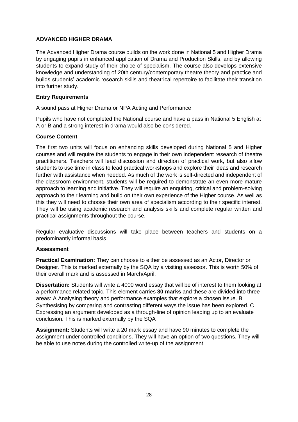# **ADVANCED HIGHER DRAMA**

The Advanced Higher Drama course builds on the work done in National 5 and Higher Drama by engaging pupils in enhanced application of Drama and Production Skills, and by allowing students to expand study of their choice of specialism. The course also develops extensive knowledge and understanding of 20th century/contemporary theatre theory and practice and builds students' academic research skills and theatrical repertoire to facilitate their transition into further study.

# **Entry Requirements**

A sound pass at Higher Drama or NPA Acting and Performance

Pupils who have not completed the National course and have a pass in National 5 English at A or B and a strong interest in drama would also be considered.

# **Course Content**

The first two units will focus on enhancing skills developed during National 5 and Higher courses and will require the students to engage in their own independent research of theatre practitioners. Teachers will lead discussion and direction of practical work, but also allow students to use time in class to lead practical workshops and explore their ideas and research further with assistance when needed. As much of the work is self-directed and independent of the classroom environment, students will be required to demonstrate an even more mature approach to learning and initiative. They will require an enquiring, critical and problem-solving approach to their learning and build on their own experience of the Higher course. As well as this they will need to choose their own area of specialism according to their specific interest. They will be using academic research and analysis skills and complete regular written and practical assignments throughout the course.

Regular evaluative discussions will take place between teachers and students on a predominantly informal basis.

# **Assessment**

**Practical Examination:** They can choose to either be assessed as an Actor, Director or Designer. This is marked externally by the SQA by a visiting assessor. This is worth 50% of their overall mark and is assessed in March/April.

**Dissertation:** Students will write a 4000 word essay that will be of interest to them looking at a performance related topic. This element carries **30 marks** and these are divided into three areas: A Analysing theory and performance examples that explore a chosen issue. B Synthesising by comparing and contrasting different ways the issue has been explored. C Expressing an argument developed as a through-line of opinion leading up to an evaluate conclusion. This is marked externally by the SQA

**Assignment:** Students will write a 20 mark essay and have 90 minutes to complete the assignment under controlled conditions. They will have an option of two questions. They will be able to use notes during the controlled write-up of the assignment.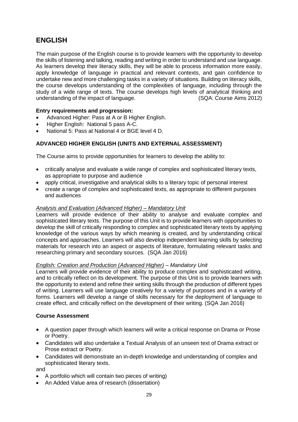# **ENGLISH**

The main purpose of the English course is to provide learners with the opportunity to develop the skills of listening and talking, reading and writing in order to understand and use language. As learners develop their literacy skills, they will be able to process information more easily, apply knowledge of language in practical and relevant contexts, and gain confidence to undertake new and more challenging tasks in a variety of situations. Building on literacy skills, the course develops understanding of the complexities of language, including through the study of a wide range of texts. The course develops high levels of analytical thinking and understanding of the impact of language. (SQA: Course Aims 2012)

# **Entry requirements and progression:**

- Advanced Higher: Pass at A or B Higher English.
- Higher English: National 5 pass A-C.
- National 5: Pass at National 4 or BGE level 4 D.

# **ADVANCED HIGHER ENGLISH (UNITS AND EXTERNAL ASSESSMENT)**

The Course aims to provide opportunities for learners to develop the ability to:

- critically analyse and evaluate a wide range of complex and sophisticated literary texts, as appropriate to purpose and audience
- apply critical, investigative and analytical skills to a literary topic of personal interest
- create a range of complex and sophisticated texts, as appropriate to different purposes and audiences

# *Analysis and Evaluation (Advanced Higher) – Mandatory Unit*

Learners will provide evidence of their ability to analyse and evaluate complex and sophisticated literary texts. The purpose of this Unit is to provide learners with opportunities to develop the skill of critically responding to complex and sophisticated literary texts by applying knowledge of the various ways by which meaning is created, and by understanding critical concepts and approaches. Learners will also develop independent learning skills by selecting materials for research into an aspect or aspects of literature, formulating relevant tasks and researching primary and secondary sources. (SQA Jan 2016)

# *English: Creation and Production (Advanced Higher) – Mandatory Unit*

Learners will provide evidence of their ability to produce complex and sophisticated writing, and to critically reflect on its development. The purpose of this Unit is to provide learners with the opportunity to extend and refine their writing skills through the production of different types of writing. Learners will use language creatively for a variety of purposes and in a variety of forms. Learners will develop a range of skills necessary for the deployment of language to create effect, and critically reflect on the development of their writing. (SQA Jan 2016)

# **Course Assessment**

- A question paper through which learners will write a critical response on Drama or Prose or Poetry.
- Candidates will also undertake a Textual Analysis of an unseen text of Drama extract or Prose extract or Poetry.
- Candidates will demonstrate an in-depth knowledge and understanding of complex and sophisticated literary texts.

and

- A portfolio which will contain two pieces of writing)
- An Added Value area of research (dissertation)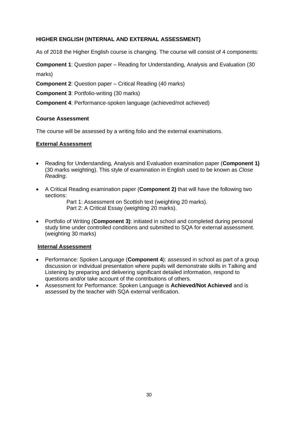# **HIGHER ENGLISH (INTERNAL AND EXTERNAL ASSESSMENT)**

As of 2018 the Higher English course is changing. The course will consist of 4 components:

**Component 1**: Question paper – Reading for Understanding, Analysis and Evaluation (30 marks)

**Component 2**: Question paper – Critical Reading (40 marks)

**Component 3**: Portfolio-writing (30 marks)

**Component 4: Performance-spoken language (achieved/not achieved)** 

#### **Course Assessment**

The course will be assessed by a writing folio and the external examinations.

#### **External Assessment**

- Reading for Understanding, Analysis and Evaluation examination paper (**Component 1)** (30 marks weighting). This style of examination in English used to be known as *Close Reading*.
- A Critical Reading examination paper (**Component 2)** that will have the following two sections:

 Part 1: Assessment on Scottish text (weighting 20 marks). Part 2: A Critical Essay (weighting 20 marks).

• Portfolio of Writing (**Component 3)**: initiated in school and completed during personal study time under controlled conditions and submitted to SQA for external assessment. (weighting 30 marks)

# **Internal Assessment**

- Performance: Spoken Language (**Component 4**): assessed in school as part of a group discussion or individual presentation where pupils will demonstrate skills in Talking and Listening by preparing and delivering significant detailed information, respond to questions and/or take account of the contributions of others.
- Assessment for Performance: Spoken Language is **Achieved/Not Achieved** and is assessed by the teacher with SQA external verification.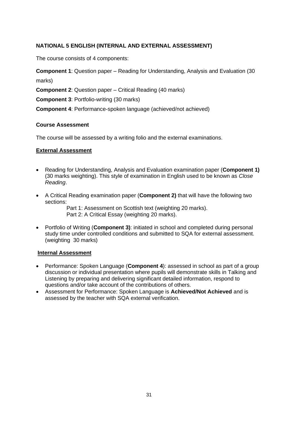# **NATIONAL 5 ENGLISH (INTERNAL AND EXTERNAL ASSESSMENT)**

The course consists of 4 components:

**Component 1**: Question paper – Reading for Understanding, Analysis and Evaluation (30 marks)

**Component 2**: Question paper – Critical Reading (40 marks)

**Component 3**: Portfolio-writing (30 marks)

**Component 4**: Performance-spoken language (achieved/not achieved)

# **Course Assessment**

The course will be assessed by a writing folio and the external examinations.

# **External Assessment**

- Reading for Understanding, Analysis and Evaluation examination paper (**Component 1)** (30 marks weighting). This style of examination in English used to be known as *Close Reading*.
- A Critical Reading examination paper (**Component 2)** that will have the following two sections:

 Part 1: Assessment on Scottish text (weighting 20 marks). Part 2: A Critical Essay (weighting 20 marks).

• Portfolio of Writing (**Component 3)**: initiated in school and completed during personal study time under controlled conditions and submitted to SQA for external assessment. (weighting 30 marks)

# **Internal Assessment**

- Performance: Spoken Language (**Component 4**): assessed in school as part of a group discussion or individual presentation where pupils will demonstrate skills in Talking and Listening by preparing and delivering significant detailed information, respond to questions and/or take account of the contributions of others.
- Assessment for Performance: Spoken Language is **Achieved/Not Achieved** and is assessed by the teacher with SQA external verification.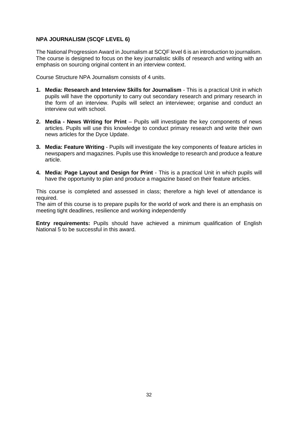# **NPA JOURNALISM (SCQF LEVEL 6)**

The National Progression Award in Journalism at SCQF level 6 is an introduction to journalism. The course is designed to focus on the key journalistic skills of research and writing with an emphasis on sourcing original content in an interview context.

Course Structure NPA Journalism consists of 4 units.

- **1. Media: Research and Interview Skills for Journalism**  This is a practical Unit in which pupils will have the opportunity to carry out secondary research and primary research in the form of an interview. Pupils will select an interviewee; organise and conduct an interview out with school.
- **2. Media - News Writing for Print**  Pupils will investigate the key components of news articles. Pupils will use this knowledge to conduct primary research and write their own news articles for the Dyce Update.
- **3. Media: Feature Writing** Pupils will investigate the key components of feature articles in newspapers and magazines. Pupils use this knowledge to research and produce a feature article.
- **4. Media: Page Layout and Design for Print** This is a practical Unit in which pupils will have the opportunity to plan and produce a magazine based on their feature articles.

This course is completed and assessed in class; therefore a high level of attendance is required.

The aim of this course is to prepare pupils for the world of work and there is an emphasis on meeting tight deadlines, resilience and working independently

**Entry requirements:** Pupils should have achieved a minimum qualification of English National 5 to be successful in this award.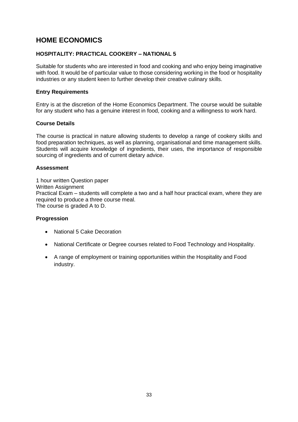# **HOME ECONOMICS**

# **HOSPITALITY: PRACTICAL COOKERY – NATIONAL 5**

Suitable for students who are interested in food and cooking and who enjoy being imaginative with food. It would be of particular value to those considering working in the food or hospitality industries or any student keen to further develop their creative culinary skills.

# **Entry Requirements**

Entry is at the discretion of the Home Economics Department. The course would be suitable for any student who has a genuine interest in food, cooking and a willingness to work hard.

# **Course Details**

The course is practical in nature allowing students to develop a range of cookery skills and food preparation techniques, as well as planning, organisational and time management skills. Students will acquire knowledge of ingredients, their uses, the importance of responsible sourcing of ingredients and of current dietary advice.

# **Assessment**

1 hour written Question paper Written Assignment Practical Exam – students will complete a two and a half hour practical exam, where they are required to produce a three course meal. The course is graded A to D.

# **Progression**

- National 5 Cake Decoration
- National Certificate or Degree courses related to Food Technology and Hospitality.
- A range of employment or training opportunities within the Hospitality and Food industry.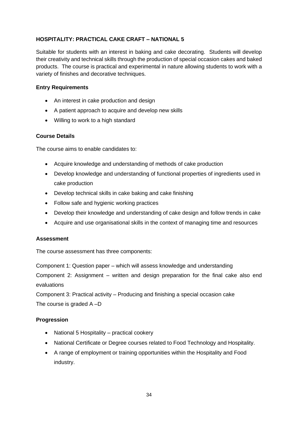# **HOSPITALITY: PRACTICAL CAKE CRAFT – NATIONAL 5**

Suitable for students with an interest in baking and cake decorating. Students will develop their creativity and technical skills through the production of special occasion cakes and baked products. The course is practical and experimental in nature allowing students to work with a variety of finishes and decorative techniques.

# **Entry Requirements**

- An interest in cake production and design
- A patient approach to acquire and develop new skills
- Willing to work to a high standard

# **Course Details**

The course aims to enable candidates to:

- Acquire knowledge and understanding of methods of cake production
- Develop knowledge and understanding of functional properties of ingredients used in cake production
- Develop technical skills in cake baking and cake finishing
- Follow safe and hygienic working practices
- Develop their knowledge and understanding of cake design and follow trends in cake
- Acquire and use organisational skills in the context of managing time and resources

# **Assessment**

The course assessment has three components:

Component 1: Question paper – which will assess knowledge and understanding Component 2: Assignment – written and design preparation for the final cake also end evaluations

Component 3: Practical activity – Producing and finishing a special occasion cake The course is graded A –D

# **Progression**

- National 5 Hospitality practical cookery
- National Certificate or Degree courses related to Food Technology and Hospitality.
- A range of employment or training opportunities within the Hospitality and Food industry.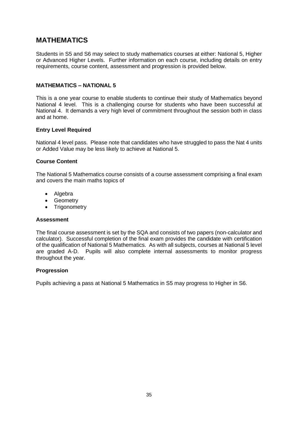# **MATHEMATICS**

Students in S5 and S6 may select to study mathematics courses at either: National 5, Higher or Advanced Higher Levels. Further information on each course, including details on entry requirements, course content, assessment and progression is provided below.

# **MATHEMATICS – NATIONAL 5**

This is a one year course to enable students to continue their study of Mathematics beyond National 4 level. This is a challenging course for students who have been successful at National 4. It demands a very high level of commitment throughout the session both in class and at home.

#### **Entry Level Required**

National 4 level pass. Please note that candidates who have struggled to pass the Nat 4 units or Added Value may be less likely to achieve at National 5.

#### **Course Content**

The National 5 Mathematics course consists of a course assessment comprising a final exam and covers the main maths topics of

- Algebra
- Geometry
- Trigonometry

#### **Assessment**

The final course assessment is set by the SQA and consists of two papers (non-calculator and calculator). Successful completion of the final exam provides the candidate with certification of the qualification of National 5 Mathematics. As with all subjects, courses at National 5 level are graded A-D. Pupils will also complete internal assessments to monitor progress throughout the year.

#### **Progression**

Pupils achieving a pass at National 5 Mathematics in S5 may progress to Higher in S6.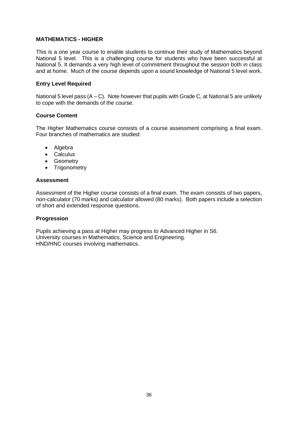#### **MATHEMATICS - HIGHER**

This is a one year course to enable students to continue their study of Mathematics beyond National 5 level. This is a challenging course for students who have been successful at National 5. It demands a very high level of commitment throughout the session both in class and at home. Much of the course depends upon a sound knowledge of National 5 level work.

#### **Entry Level Required**

National 5 level pass  $(A - C)$ . Note however that pupils with Grade C, at National 5 are unlikely to cope with the demands of the course.

#### **Course Content**

The Higher Mathematics course consists of a course assessment comprising a final exam. Four branches of mathematics are studied:

- Algebra
- Calculus
- Geometry
- Trigonometry

#### **Assessment**

Assessment of the Higher course consists of a final exam. The exam consists of two papers, non-calculator (70 marks) and calculator allowed (80 marks). Both papers include a selection of short and extended response questions.

#### **Progression**

Pupils achieving a pass at Higher may progress to Advanced Higher in S6. University courses in Mathematics, Science and Engineering. HND/HNC courses involving mathematics.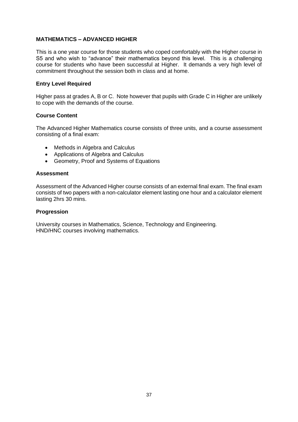# **MATHEMATICS – ADVANCED HIGHER**

This is a one year course for those students who coped comfortably with the Higher course in S5 and who wish to "advance" their mathematics beyond this level. This is a challenging course for students who have been successful at Higher. It demands a very high level of commitment throughout the session both in class and at home.

# **Entry Level Required**

Higher pass at grades A, B or C. Note however that pupils with Grade C in Higher are unlikely to cope with the demands of the course.

### **Course Content**

The Advanced Higher Mathematics course consists of three units, and a course assessment consisting of a final exam:

- Methods in Algebra and Calculus
- Applications of Algebra and Calculus
- Geometry, Proof and Systems of Equations

#### **Assessment**

Assessment of the Advanced Higher course consists of an external final exam. The final exam consists of two papers with a non-calculator element lasting one hour and a calculator element lasting 2hrs 30 mins.

### **Progression**

University courses in Mathematics, Science, Technology and Engineering. HND/HNC courses involving mathematics.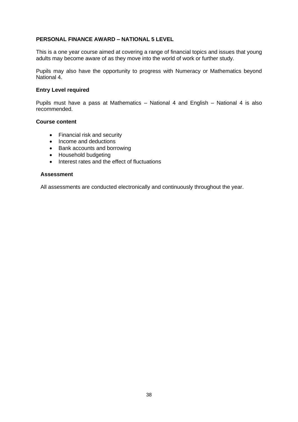### **PERSONAL FINANCE AWARD – NATIONAL 5 LEVEL**

This is a one year course aimed at covering a range of financial topics and issues that young adults may become aware of as they move into the world of work or further study.

Pupils may also have the opportunity to progress with Numeracy or Mathematics beyond National 4.

#### **Entry Level required**

Pupils must have a pass at Mathematics – National 4 and English – National 4 is also recommended.

#### **Course content**

- Financial risk and security
- Income and deductions
- Bank accounts and borrowing
- Household budgeting
- Interest rates and the effect of fluctuations

### **Assessment**

All assessments are conducted electronically and continuously throughout the year.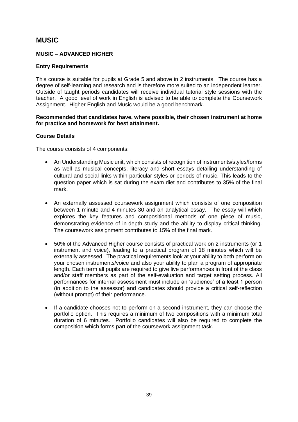# **MUSIC**

# **MUSIC – ADVANCED HIGHER**

# **Entry Requirements**

This course is suitable for pupils at Grade 5 and above in 2 instruments. The course has a degree of self-learning and research and is therefore more suited to an independent learner. Outside of taught periods candidates will receive individual tutorial style sessions with the teacher. A good level of work in English is advised to be able to complete the Coursework Assignment. Higher English and Music would be a good benchmark.

### **Recommended that candidates have, where possible, their chosen instrument at home for practice and homework for best attainment.**

# **Course Details**

The course consists of 4 components:

- An Understanding Music unit, which consists of recognition of instruments/styles/forms as well as musical concepts, literacy and short essays detailing understanding of cultural and social links within particular styles or periods of music. This leads to the question paper which is sat during the exam diet and contributes to 35% of the final mark.
- An externally assessed coursework assignment which consists of one composition between 1 minute and 4 minutes 30 and an analytical essay. The essay will which explores the key features and compositional methods of one piece of music, demonstrating evidence of in-depth study and the ability to display critical thinking. The coursework assignment contributes to 15% of the final mark.
- 50% of the Advanced Higher course consists of practical work on 2 instruments (or 1 instrument and voice), leading to a practical program of 18 minutes which will be externally assessed. The practical requirements look at your ability to both perform on your chosen instruments/voice and also your ability to plan a program of appropriate length. Each term all pupils are required to give live performances in front of the class and/or staff members as part of the self-evaluation and target setting process. All performances for internal assessment must include an 'audience' of a least 1 person (in addition to the assessor) and candidates should provide a critical self-reflection (without prompt) of their performance.
- If a candidate chooses not to perform on a second instrument, they can choose the portfolio option. This requires a minimum of two compositions with a minimum total duration of 6 minutes. Portfolio candidates will also be required to complete the composition which forms part of the coursework assignment task.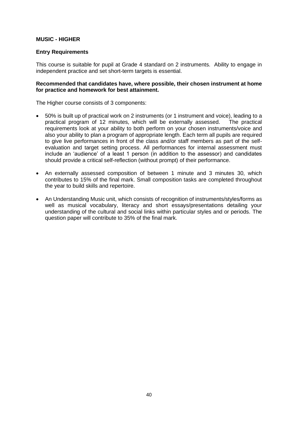# **MUSIC - HIGHER**

### **Entry Requirements**

This course is suitable for pupil at Grade 4 standard on 2 instruments. Ability to engage in independent practice and set short-term targets is essential.

### **Recommended that candidates have, where possible, their chosen instrument at home for practice and homework for best attainment.**

The Higher course consists of 3 components:

- 50% is built up of practical work on 2 instruments (or 1 instrument and voice), leading to a practical program of 12 minutes, which will be externally assessed. The practical requirements look at your ability to both perform on your chosen instruments/voice and also your ability to plan a program of appropriate length. Each term all pupils are required to give live performances in front of the class and/or staff members as part of the selfevaluation and target setting process. All performances for internal assessment must include an 'audience' of a least 1 person (in addition to the assessor) and candidates should provide a critical self-reflection (without prompt) of their performance.
- An externally assessed composition of between 1 minute and 3 minutes 30, which contributes to 15% of the final mark. Small composition tasks are completed throughout the year to build skills and repertoire.
- An Understanding Music unit, which consists of recognition of instruments/styles/forms as well as musical vocabulary, literacy and short essays/presentations detailing your understanding of the cultural and social links within particular styles and or periods. The question paper will contribute to 35% of the final mark.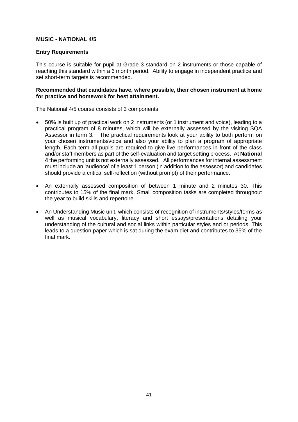# **MUSIC - NATIONAL 4/5**

### **Entry Requirements**

This course is suitable for pupil at Grade 3 standard on 2 instruments or those capable of reaching this standard within a 6 month period. Ability to engage in independent practice and set short-term targets is recommended.

#### **Recommended that candidates have, where possible, their chosen instrument at home for practice and homework for best attainment.**

The National 4/5 course consists of 3 components:

- 50% is built up of practical work on 2 instruments (or 1 instrument and voice), leading to a practical program of 8 minutes, which will be externally assessed by the visiting SQA Assessor in term 3. The practical requirements look at your ability to both perform on your chosen instruments/voice and also your ability to plan a program of appropriate length. Each term all pupils are required to give live performances in front of the class and/or staff members as part of the self-evaluation and target setting process. At **National 4** the performing unit is not externally assessed. All performances for internal assessment must include an 'audience' of a least 1 person (in addition to the assessor) and candidates should provide a critical self-reflection (without prompt) of their performance.
- An externally assessed composition of between 1 minute and 2 minutes 30. This contributes to 15% of the final mark. Small composition tasks are completed throughout the year to build skills and repertoire.
- An Understanding Music unit, which consists of recognition of instruments/styles/forms as well as musical vocabulary, literacy and short essays/presentations detailing your understanding of the cultural and social links within particular styles and or periods. This leads to a question paper which is sat during the exam diet and contributes to 35% of the final mark.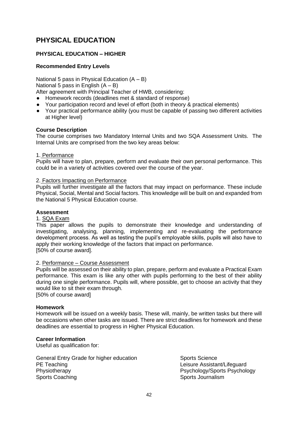# **PHYSICAL EDUCATION**

# **PHYSICAL EDUCATION – HIGHER**

# **Recommended Entry Levels**

National 5 pass in Physical Education  $(A - B)$ National 5 pass in English  $(A - B)$ After agreement with Principal Teacher of HWB, considering:

● Homework records (deadlines met & standard of response)

- Your participation record and level of effort (both in theory & practical elements)
- Your practical performance ability (you must be capable of passing two different activities at Higher level)

# **Course Description**

The course comprises two Mandatory Internal Units and two SQA Assessment Units. The Internal Units are comprised from the two key areas below:

#### 1. Performance

Pupils will have to plan, prepare, perform and evaluate their own personal performance. This could be in a variety of activities covered over the course of the year.

#### 2. Factors Impacting on Performance

Pupils will further investigate all the factors that may impact on performance. These include Physical, Social, Mental and Social factors. This knowledge will be built on and expanded from the National 5 Physical Education course.

# **Assessment**

#### 1. SQA Exam

This paper allows the pupils to demonstrate their knowledge and understanding of investigating, analysing, planning, implementing and re-evaluating the performance development process. As well as testing the pupil's employable skills, pupils will also have to apply their working knowledge of the factors that impact on performance. [50% of course award].

#### 2. Performance – Course Assessment

Pupils will be assessed on their ability to plan, prepare, perform and evaluate a Practical Exam performance. This exam is like any other with pupils performing to the best of their ability during one single performance. Pupils will, where possible, get to choose an activity that they would like to sit their exam through.

[50% of course award]

# **Homework**

Homework will be issued on a weekly basis. These will, mainly, be written tasks but there will be occasions when other tasks are issued. There are strict deadlines for homework and these deadlines are essential to progress in Higher Physical Education.

# **Career Information**

Useful as qualification for:

General Entry Grade for higher education Sports Science PE Teaching **PE Teaching PE Teaching** Physiotherapy Physiotherapy Psychology/Sports Psychology Sports Coaching Sports Journalism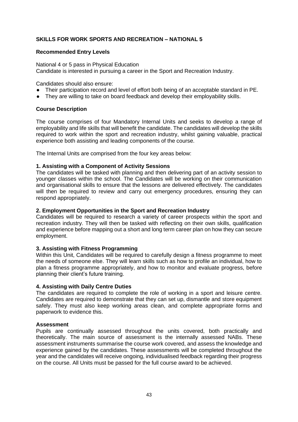# **SKILLS FOR WORK SPORTS AND RECREATION – NATIONAL 5**

### **Recommended Entry Levels**

National 4 or 5 pass in Physical Education Candidate is interested in pursuing a career in the Sport and Recreation Industry.

Candidates should also ensure:

- Their participation record and level of effort both being of an acceptable standard in PE.
- They are willing to take on board feedback and develop their employability skills.

# **Course Description**

The course comprises of four Mandatory Internal Units and seeks to develop a range of employability and life skills that will benefit the candidate. The candidates will develop the skills required to work within the sport and recreation industry, whilst gaining valuable, practical experience both assisting and leading components of the course.

The Internal Units are comprised from the four key areas below:

### **1. Assisting with a Component of Activity Sessions**

The candidates will be tasked with planning and then delivering part of an activity session to younger classes within the school. The Candidates will be working on their communication and organisational skills to ensure that the lessons are delivered effectively. The candidates will then be required to review and carry out emergency procedures, ensuring they can respond appropriately.

#### **2. Employment Opportunities in the Sport and Recreation Industry**

Candidates will be required to research a variety of career prospects within the sport and recreation industry. They will then be tasked with reflecting on their own skills, qualification and experience before mapping out a short and long term career plan on how they can secure employment.

#### **3. Assisting with Fitness Programming**

Within this Unit, Candidates will be required to carefully design a fitness programme to meet the needs of someone else. They will learn skills such as how to profile an individual, how to plan a fitness programme appropriately, and how to monitor and evaluate progress, before planning their client's future training.

#### **4. Assisting with Daily Centre Duties**

The candidates are required to complete the role of working in a sport and leisure centre. Candidates are required to demonstrate that they can set up, dismantle and store equipment safely. They must also keep working areas clean, and complete appropriate forms and paperwork to evidence this.

# **Assessment**

Pupils are continually assessed throughout the units covered, both practically and theoretically. The main source of assessment is the internally assessed NABs. These assessment instruments summarise the course work covered, and assess the knowledge and experience gained by the candidates. These assessments will be completed throughout the year and the candidates will receive ongoing, individualised feedback regarding their progress on the course. All Units must be passed for the full course award to be achieved.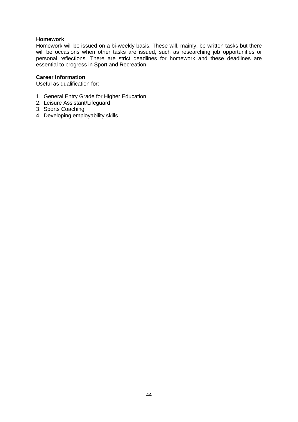# **Homework**

Homework will be issued on a bi-weekly basis. These will, mainly, be written tasks but there will be occasions when other tasks are issued, such as researching job opportunities or personal reflections. There are strict deadlines for homework and these deadlines are essential to progress in Sport and Recreation.

### **Career Information**

Useful as qualification for:

- 1. General Entry Grade for Higher Education
- 2. Leisure Assistant/Lifeguard
- 3. Sports Coaching
- 4. Developing employability skills.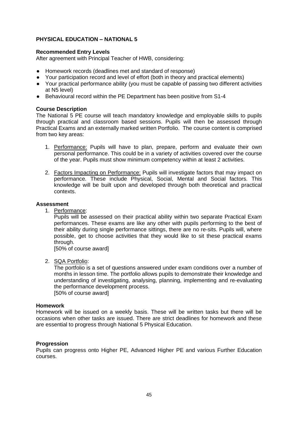# **PHYSICAL EDUCATION – NATIONAL 5**

# **Recommended Entry Levels**

After agreement with Principal Teacher of HWB, considering:

- Homework records (deadlines met and standard of response)
- Your participation record and level of effort (both in theory and practical elements)
- Your practical performance ability (you must be capable of passing two different activities at N5 level)
- Behavioural record within the PE Department has been positive from S1-4

### **Course Description**

The National 5 PE course will teach mandatory knowledge and employable skills to pupils through practical and classroom based sessions. Pupils will then be assessed through Practical Exams and an externally marked written Portfolio. The course content is comprised from two key areas:

- 1. Performance: Pupils will have to plan, prepare, perform and evaluate their own personal performance. This could be in a variety of activities covered over the course of the year. Pupils must show minimum competency within at least 2 activities.
- 2. Factors Impacting on Performance: Pupils will investigate factors that may impact on performance. These include Physical, Social, Mental and Social factors. This knowledge will be built upon and developed through both theoretical and practical contexts.

#### **Assessment**

1. Performance:

Pupils will be assessed on their practical ability within two separate Practical Exam performances. These exams are like any other with pupils performing to the best of their ability during single performance sittings, there are no re-sits. Pupils will, where possible, get to choose activities that they would like to sit these practical exams through.

[50% of course award]

2. SQA Portfolio:

The portfolio is a set of questions answered under exam conditions over a number of months in lesson time. The portfolio allows pupils to demonstrate their knowledge and understanding of investigating, analysing, planning, implementing and re-evaluating the performance development process.

[50% of course award]

#### **Homework**

Homework will be issued on a weekly basis. These will be written tasks but there will be occasions when other tasks are issued. There are strict deadlines for homework and these are essential to progress through National 5 Physical Education.

#### **Progression**

Pupils can progress onto Higher PE, Advanced Higher PE and various Further Education courses.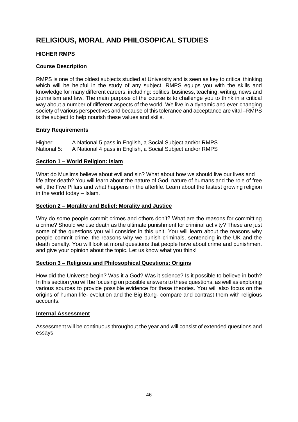# **RELIGIOUS, MORAL AND PHILOSOPICAL STUDIES**

# **HIGHER RMPS**

# **Course Description**

RMPS is one of the oldest subjects studied at University and is seen as key to critical thinking which will be helpful in the study of any subject. RMPS equips you with the skills and knowledge for many different careers, including: politics, business, teaching, writing, news and journalism and law. The main purpose of the course is to challenge you to think in a critical way about a number of different aspects of the world. We live in a dynamic and ever-changing society of various perspectives and because of this tolerance and acceptance are vital –RMPS is the subject to help nourish these values and skills.

# **Entry Requirements**

Higher: A National 5 pass in English, a Social Subject and/or RMPS National 5: A National 4 pass in English, a Social Subject and/or RMPS

# **Section 1 – World Religion: Islam**

What do Muslims believe about evil and sin? What about how we should live our lives and life after death? You will learn about the nature of God, nature of humans and the role of free will, the Five Pillars and what happens in the afterlife. Learn about the fastest growing religion in the world today – Islam.

# **Section 2 – Morality and Belief: Morality and Justice**

Why do some people commit crimes and others don't? What are the reasons for committing a crime? Should we use death as the ultimate punishment for criminal activity? These are just some of the questions you will consider in this unit. You will learn about the reasons why people commit crime, the reasons why we punish criminals, sentencing in the UK and the death penalty. You will look at moral questions that people have about crime and punishment and give your opinion about the topic. Let us know what you think!

# **Section 3 – Religious and Philosophical Questions: Origins**

How did the Universe begin? Was it a God? Was it science? Is it possible to believe in both? In this section you will be focusing on possible answers to these questions, as well as exploring various sources to provide possible evidence for these theories. You will also focus on the origins of human life- evolution and the Big Bang- compare and contrast them with religious accounts.

# **Internal Assessment**

Assessment will be continuous throughout the year and will consist of extended questions and essays.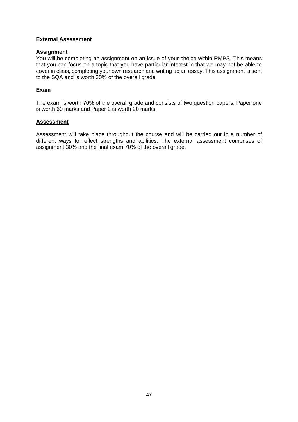# **External Assessment**

#### **Assignment**

You will be completing an assignment on an issue of your choice within RMPS. This means that you can focus on a topic that you have particular interest in that we may not be able to cover in class, completing your own research and writing up an essay. This assignment is sent to the SQA and is worth 30% of the overall grade.

# **Exam**

The exam is worth 70% of the overall grade and consists of two question papers. Paper one is worth 60 marks and Paper 2 is worth 20 marks.

### **Assessment**

Assessment will take place throughout the course and will be carried out in a number of different ways to reflect strengths and abilities. The external assessment comprises of assignment 30% and the final exam 70% of the overall grade.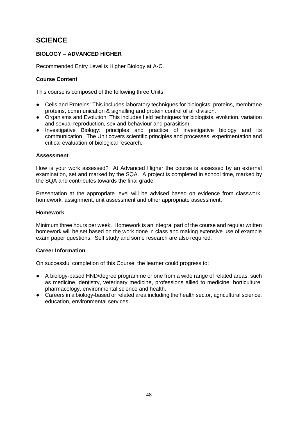# **SCIENCE**

# **BIOLOGY – ADVANCED HIGHER**

Recommended Entry Level is Higher Biology at A-C.

# **Course Content**

This course is composed of the following three Units:

- Cells and Proteins: This includes laboratory techniques for biologists, proteins, membrane proteins, communication & signalling and protein control of all division.
- Organisms and Evolution: This includes field techniques for biologists, evolution, variation and sexual reproduction, sex and behaviour and parasitism.
- Investigative Biology: principles and practice of investigative biology and its communication. The Unit covers scientific principles and processes, experimentation and critical evaluation of biological research.

# **Assessment**

How is your work assessed? At Advanced Higher the course is assessed by an external examination, set and marked by the SQA. A project is completed in school time, marked by the SQA and contributes towards the final grade.

Presentation at the appropriate level will be advised based on evidence from classwork, homework, assignment, unit assessment and other appropriate assessment.

#### **Homework**

Minimum three hours per week. Homework is an integral part of the course and regular written homework will be set based on the work done in class and making extensive use of example exam paper questions. Self study and some research are also required.

# **Career Information**

On successful completion of this Course, the learner could progress to:

- A biology-based HND/degree programme or one from a wide range of related areas, such as medicine, dentistry, veterinary medicine, professions allied to medicine, horticulture, pharmacology, environmental science and health.
- Careers in a biology-based or related area including the health sector, agricultural science, education, environmental services.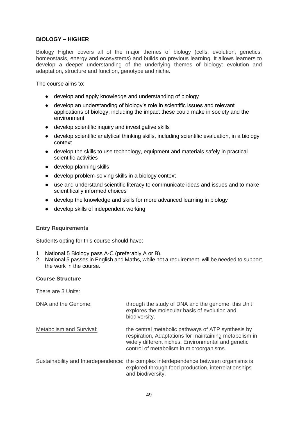# **BIOLOGY – HIGHER**

Biology Higher covers all of the major themes of biology (cells, evolution, genetics, homeostasis, energy and ecosystems) and builds on previous learning. It allows learners to develop a deeper understanding of the underlying themes of biology: evolution and adaptation, structure and function, genotype and niche.

The course aims to:

- develop and apply knowledge and understanding of biology
- develop an understanding of biology's role in scientific issues and relevant applications of biology, including the impact these could make in society and the environment
- develop scientific inquiry and investigative skills
- develop scientific analytical thinking skills, including scientific evaluation, in a biology context
- develop the skills to use technology, equipment and materials safely in practical scientific activities
- develop planning skills
- develop problem-solving skills in a biology context
- use and understand scientific literacy to communicate ideas and issues and to make scientifically informed choices
- develop the knowledge and skills for more advanced learning in biology
- develop skills of independent working

#### **Entry Requirements**

Students opting for this course should have:

- 1 National 5 Biology pass A-C (preferably A or B).
- 2 National 5 passes in English and Maths, while not a requirement, will be needed to support the work in the course.

#### **Course Structure**

There are 3 Units:

| DNA and the Genome:      | through the study of DNA and the genome, this Unit<br>explores the molecular basis of evolution and<br>biodiversity.                                                                                           |
|--------------------------|----------------------------------------------------------------------------------------------------------------------------------------------------------------------------------------------------------------|
| Metabolism and Survival: | the central metabolic pathways of ATP synthesis by<br>respiration, Adaptations for maintaining metabolism in<br>widely different niches. Environmental and genetic<br>control of metabolism in microorganisms. |
|                          | Sustainability and Interdependence: the complex interdependence between organisms is<br>explored through food production, interrelationships<br>and biodiversity.                                              |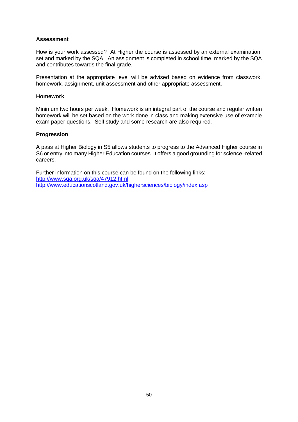# **Assessment**

How is your work assessed? At Higher the course is assessed by an external examination, set and marked by the SQA. An assignment is completed in school time, marked by the SQA and contributes towards the final grade.

Presentation at the appropriate level will be advised based on evidence from classwork, homework, assignment, unit assessment and other appropriate assessment.

# **Homework**

Minimum two hours per week. Homework is an integral part of the course and regular written homework will be set based on the work done in class and making extensive use of example exam paper questions. Self study and some research are also required.

#### **Progression**

A pass at Higher Biology in S5 allows students to progress to the Advanced Higher course in S6 or entry into many Higher Education courses. It offers a good grounding for science -related careers.

Further information on this course can be found on the following links: <http://www.sqa.org.uk/sqa/47912.html> <http://www.educationscotland.gov.uk/highersciences/biology/index.asp>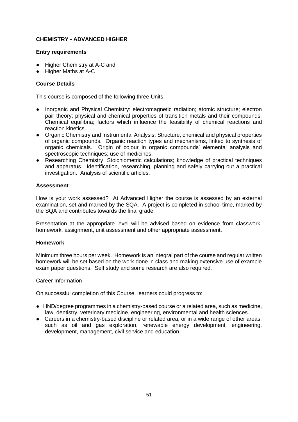# **CHEMISTRY - ADVANCED HIGHER**

# **Entry requirements**

- Higher Chemistry at A-C and
- Higher Maths at A-C

# **Course Details**

This course is composed of the following three Units:

- Inorganic and Physical Chemistry: electromagnetic radiation; atomic structure; electron pair theory; physical and chemical properties of transition metals and their compounds. Chemical equilibria; factors which influence the feasibility of chemical reactions and reaction kinetics.
- Organic Chemistry and Instrumental Analysis: Structure, chemical and physical properties of organic compounds. Organic reaction types and mechanisms, linked to synthesis of organic chemicals. Origin of colour in organic compounds' elemental analysis and spectroscopic techniques; use of medicines.
- Researching Chemistry: Stoichiometric calculations; knowledge of practical techniques and apparatus. Identification, researching, planning and safely carrying out a practical investigation. Analysis of scientific articles.

# **Assessment**

How is your work assessed? At Advanced Higher the course is assessed by an external examination, set and marked by the SQA. A project is completed in school time, marked by the SQA and contributes towards the final grade.

Presentation at the appropriate level will be advised based on evidence from classwork, homework, assignment, unit assessment and other appropriate assessment.

#### **Homework**

Minimum three hours per week. Homework is an integral part of the course and regular written homework will be set based on the work done in class and making extensive use of example exam paper questions. Self study and some research are also required.

#### Career Information

On successful completion of this Course, learners could progress to:

- HND/degree programmes in a chemistry-based course or a related area, such as medicine, law, dentistry, veterinary medicine, engineering, environmental and health sciences.
- Careers in a chemistry-based discipline or related area, or in a wide range of other areas, such as oil and gas exploration, renewable energy development, engineering, development, management, civil service and education.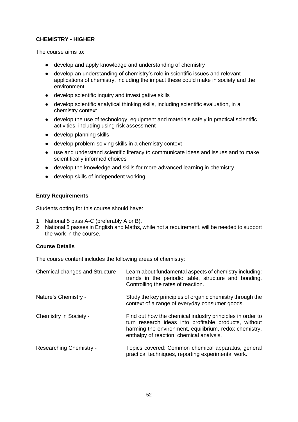# **CHEMISTRY - HIGHER**

The course aims to:

- develop and apply knowledge and understanding of chemistry
- develop an understanding of chemistry's role in scientific issues and relevant applications of chemistry, including the impact these could make in society and the environment
- develop scientific inquiry and investigative skills
- develop scientific analytical thinking skills, including scientific evaluation, in a chemistry context
- develop the use of technology, equipment and materials safely in practical scientific activities, including using risk assessment
- develop planning skills
- develop problem-solving skills in a chemistry context
- use and understand scientific literacy to communicate ideas and issues and to make scientifically informed choices
- develop the knowledge and skills for more advanced learning in chemistry
- develop skills of independent working

# **Entry Requirements**

Students opting for this course should have:

- 1 National 5 pass A-C (preferably A or B).
- 2 National 5 passes in English and Maths, while not a requirement, will be needed to support the work in the course.

# **Course Details**

The course content includes the following areas of chemistry:

| Chemical changes and Structure - | Learn about fundamental aspects of chemistry including:<br>trends in the periodic table, structure and bonding.<br>Controlling the rates of reaction.                                                                    |
|----------------------------------|--------------------------------------------------------------------------------------------------------------------------------------------------------------------------------------------------------------------------|
| Nature's Chemistry -             | Study the key principles of organic chemistry through the<br>context of a range of everyday consumer goods.                                                                                                              |
| Chemistry in Society -           | Find out how the chemical industry principles in order to<br>turn research ideas into profitable products, without<br>harming the environment, equilibrium, redox chemistry,<br>enthalpy of reaction, chemical analysis. |
| Researching Chemistry -          | Topics covered: Common chemical apparatus, general<br>practical techniques, reporting experimental work.                                                                                                                 |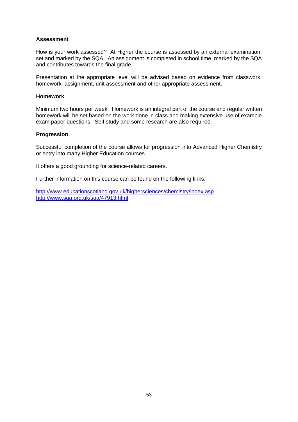# **Assessment**

How is your work assessed? At Higher the course is assessed by an external examination, set and marked by the SQA. An assignment is completed in school time, marked by the SQA and contributes towards the final grade.

Presentation at the appropriate level will be advised based on evidence from classwork, homework, assignment, unit assessment and other appropriate assessment.

# **Homework**

Minimum two hours per week. Homework is an integral part of the course and regular written homework will be set based on the work done in class and making extensive use of example exam paper questions. Self study and some research are also required.

#### **Progression**

Successful completion of the course allows for progression into Advanced Higher Chemistry or entry into many Higher Education courses.

It offers a good grounding for science-related careers.

Further information on this course can be found on the following links:

<http://www.educationscotland.gov.uk/highersciences/chemistry/index.asp> <http://www.sqa.org.uk/sqa/47913.html>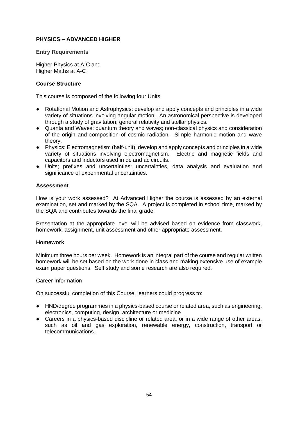# **PHYSICS – ADVANCED HIGHER**

# **Entry Requirements**

Higher Physics at A-C and Higher Maths at A-C

# **Course Structure**

This course is composed of the following four Units:

- Rotational Motion and Astrophysics: develop and apply concepts and principles in a wide variety of situations involving angular motion. An astronomical perspective is developed through a study of gravitation; general relativity and stellar physics.
- Quanta and Waves: quantum theory and waves; non-classical physics and consideration of the origin and composition of cosmic radiation. Simple harmonic motion and wave theory.
- Physics: Electromagnetism (half-unit): develop and apply concepts and principles in a wide variety of situations involving electromagnetism. Electric and magnetic fields and capacitors and inductors used in dc and ac circuits.
- Units; prefixes and uncertainties: uncertainties, data analysis and evaluation and significance of experimental uncertainties.

# **Assessment**

How is your work assessed? At Advanced Higher the course is assessed by an external examination, set and marked by the SQA. A project is completed in school time, marked by the SQA and contributes towards the final grade.

Presentation at the appropriate level will be advised based on evidence from classwork, homework, assignment, unit assessment and other appropriate assessment.

#### **Homework**

Minimum three hours per week. Homework is an integral part of the course and regular written homework will be set based on the work done in class and making extensive use of example exam paper questions. Self study and some research are also required.

#### Career Information

On successful completion of this Course, learners could progress to:

- HND/degree programmes in a physics-based course or related area, such as engineering, electronics, computing, design, architecture or medicine.
- Careers in a physics-based discipline or related area, or in a wide range of other areas, such as oil and gas exploration, renewable energy, construction, transport or telecommunications.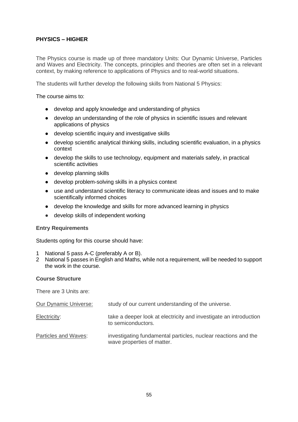# **PHYSICS – HIGHER**

The Physics course is made up of three mandatory Units: Our Dynamic Universe, Particles and Waves and Electricity. The concepts, principles and theories are often set in a relevant context, by making reference to applications of Physics and to real-world situations.

The students will further develop the following skills from National 5 Physics:

The course aims to:

- develop and apply knowledge and understanding of physics
- develop an understanding of the role of physics in scientific issues and relevant applications of physics
- develop scientific inquiry and investigative skills
- develop scientific analytical thinking skills, including scientific evaluation, in a physics context
- develop the skills to use technology, equipment and materials safely, in practical scientific activities
- develop planning skills
- develop problem-solving skills in a physics context
- use and understand scientific literacy to communicate ideas and issues and to make scientifically informed choices
- develop the knowledge and skills for more advanced learning in physics
- develop skills of independent working

#### **Entry Requirements**

Students opting for this course should have:

- 1 National 5 pass A-C (preferably A or B).
- 2 National 5 passes in English and Maths, while not a requirement, will be needed to support the work in the course.

#### **Course Structure**

There are 3 Units are:

| <b>Our Dynamic Universe:</b> | study of our current understanding of the universe.                                          |
|------------------------------|----------------------------------------------------------------------------------------------|
| Electricity:                 | take a deeper look at electricity and investigate an introduction<br>to semiconductors.      |
| Particles and Waves:         | investigating fundamental particles, nuclear reactions and the<br>wave properties of matter. |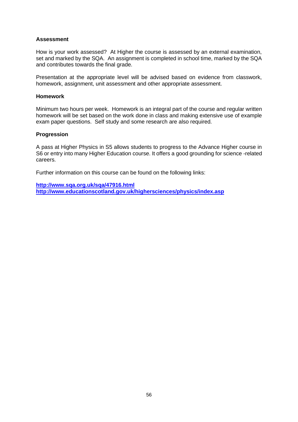# **Assessment**

How is your work assessed? At Higher the course is assessed by an external examination, set and marked by the SQA. An assignment is completed in school time, marked by the SQA and contributes towards the final grade.

Presentation at the appropriate level will be advised based on evidence from classwork, homework, assignment, unit assessment and other appropriate assessment.

# **Homework**

Minimum two hours per week. Homework is an integral part of the course and regular written homework will be set based on the work done in class and making extensive use of example exam paper questions. Self study and some research are also required.

#### **Progression**

A pass at Higher Physics in S5 allows students to progress to the Advance Higher course in S6 or entry into many Higher Education course. It offers a good grounding for science -related careers.

Further information on this course can be found on the following links:

**<http://www.sqa.org.uk/sqa/47916.html> <http://www.educationscotland.gov.uk/highersciences/physics/index.asp>**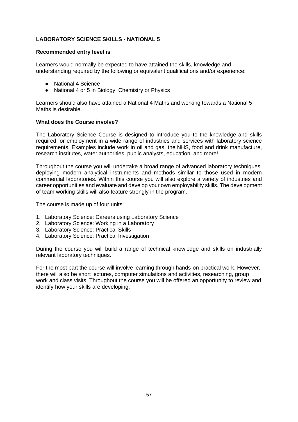# **LABORATORY SCIENCE SKILLS - NATIONAL 5**

### **Recommended entry level is**

Learners would normally be expected to have attained the skills, knowledge and understanding required by the following or equivalent qualifications and/or experience:

- National 4 Science
- National 4 or 5 in Biology, Chemistry or Physics

Learners should also have attained a National 4 Maths and working towards a National 5 Maths is desirable.

### **What does the Course involve?**

The Laboratory Science Course is designed to introduce you to the knowledge and skills required for employment in a wide range of industries and services with laboratory science requirements. Examples include work in oil and gas, the NHS, food and drink manufacture, research institutes, water authorities, public analysts, education, and more!

Throughout the course you will undertake a broad range of advanced laboratory techniques, deploying modern analytical instruments and methods similar to those used in modern commercial laboratories. Within this course you will also explore a variety of industries and career opportunities and evaluate and develop your own employability skills. The development of team working skills will also feature strongly in the program.

The course is made up of four units:

- 1. Laboratory Science: Careers using Laboratory Science
- 2. Laboratory Science: Working in a Laboratory
- 3. Laboratory Science: Practical Skills
- 4. Laboratory Science: Practical Investigation

During the course you will build a range of technical knowledge and skills on industrially relevant laboratory techniques.

For the most part the course will involve learning through hands-on practical work. However, there will also be short lectures, computer simulations and activities, researching, group work and class visits. Throughout the course you will be offered an opportunity to review and identify how your skills are developing.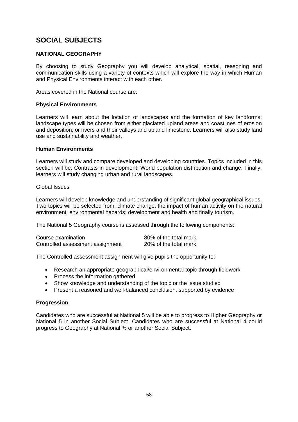# **SOCIAL SUBJECTS**

# **NATIONAL GEOGRAPHY**

By choosing to study Geography you will develop analytical, spatial, reasoning and communication skills using a variety of contexts which will explore the way in which Human and Physical Environments interact with each other.

Areas covered in the National course are:

### **Physical Environments**

Learners will learn about the location of landscapes and the formation of key landforms; landscape types will be chosen from either glaciated upland areas and coastlines of erosion and deposition; or rivers and their valleys and upland limestone. Learners will also study land use and sustainability and weather.

### **Human Environments**

Learners will study and compare developed and developing countries. Topics included in this section will be: Contrasts in development; World population distribution and change. Finally, learners will study changing urban and rural landscapes.

#### Global Issues

Learners will develop knowledge and understanding of significant global geographical issues. Two topics will be selected from: climate change; the impact of human activity on the natural environment; environmental hazards; development and health and finally tourism.

The National 5 Geography course is assessed through the following components:

| Course examination               | 80% of the total mark |
|----------------------------------|-----------------------|
| Controlled assessment assignment | 20% of the total mark |

The Controlled assessment assignment will give pupils the opportunity to:

- Research an appropriate geographical/environmental topic through fieldwork
- Process the information gathered
- Show knowledge and understanding of the topic or the issue studied
- Present a reasoned and well-balanced conclusion, supported by evidence

# **Progression**

Candidates who are successful at National 5 will be able to progress to Higher Geography or National 5 in another Social Subject. Candidates who are successful at National 4 could progress to Geography at National % or another Social Subject.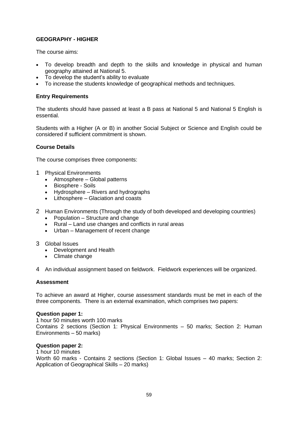# **GEOGRAPHY - HIGHER**

The course aims:

- To develop breadth and depth to the skills and knowledge in physical and human geography attained at National 5.
- To develop the student's ability to evaluate
- To increase the students knowledge of geographical methods and techniques.

### **Entry Requirements**

The students should have passed at least a B pass at National 5 and National 5 English is essential.

Students with a Higher (A or B) in another Social Subject or Science and English could be considered if sufficient commitment is shown.

#### **Course Details**

The course comprises three components:

- 1 Physical Environments
	- Atmosphere Global patterns
	- Biosphere Soils
	- Hydrosphere Rivers and hydrographs
	- Lithosphere Glaciation and coasts
- 2 Human Environments (Through the study of both developed and developing countries)
	- Population Structure and change
	- Rural Land use changes and conflicts in rural areas
	- Urban Management of recent change
- 3 Global Issues
	- Development and Health
	- Climate change
- 4 An individual assignment based on fieldwork. Fieldwork experiences will be organized.

### **Assessment**

To achieve an award at Higher, course assessment standards must be met in each of the three components. There is an external examination, which comprises two papers:

#### **Question paper 1:**

1 hour 50 minutes worth 100 marks Contains 2 sections (Section 1: Physical Environments – 50 marks; Section 2: Human Environments – 50 marks)

### **Question paper 2:**

1 hour 10 minutes Worth 60 marks - Contains 2 sections (Section 1: Global Issues – 40 marks; Section 2: Application of Geographical Skills – 20 marks)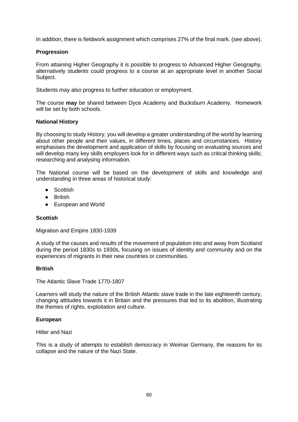In addition, there is fieldwork assignment which comprises 27% of the final mark. (see above).

# **Progression**

From attaining Higher Geography it is possible to progress to Advanced Higher Geography, alternatively students could progress to a course at an appropriate level in another Social Subject.

Students may also progress to further education or employment.

The course **may** be shared between Dyce Academy and Bucksburn Academy. Homework will be set by both schools.

### **National History**

By choosing to study History, you will develop a greater understanding of the world by learning about other people and their values, in different times, places and circumstances. History emphasises the development and application of skills by focusing on evaluating sources and will develop many key skills employers look for in different ways such as critical thinking skills; researching and analysing information.

The National course will be based on the development of skills and knowledge and understanding in three areas of historical study:

- Scottish
- **British**
- European and World

# **Scottish**

Migration and Empire 1830-1939

A study of the causes and results of the movement of population into and away from Scotland during the period 1830s to 1930s, focusing on issues of identity and community and on the experiences of migrants in their new countries or communities.

#### **British**

The Atlantic Slave Trade 1770-1807

Learners will study the nature of the British Atlantic slave trade in the late eighteenth century, changing attitudes towards it in Britain and the pressures that led to its abolition, illustrating the themes of rights, exploitation and culture.

#### **European**

Hitler and Nazi

This is a study of attempts to establish democracy in Weimar Germany, the reasons for its collapse and the nature of the Nazi State.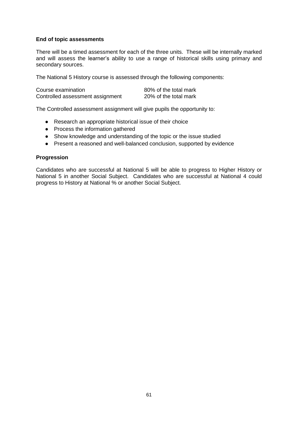### **End of topic assessments**

There will be a timed assessment for each of the three units. These will be internally marked and will assess the learner's ability to use a range of historical skills using primary and secondary sources.

The National 5 History course is assessed through the following components:

| Course examination               | 80% of the total mark |
|----------------------------------|-----------------------|
| Controlled assessment assignment | 20% of the total mark |

The Controlled assessment assignment will give pupils the opportunity to:

- Research an appropriate historical issue of their choice
- Process the information gathered
- Show knowledge and understanding of the topic or the issue studied
- Present a reasoned and well-balanced conclusion, supported by evidence

### **Progression**

Candidates who are successful at National 5 will be able to progress to Higher History or National 5 in another Social Subject. Candidates who are successful at National 4 could progress to History at National % or another Social Subject.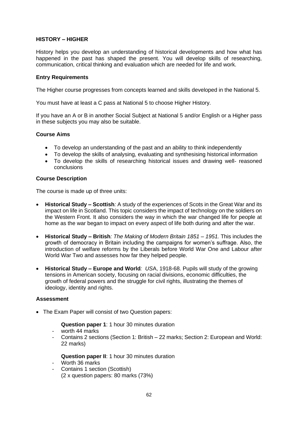# **HISTORY – HIGHER**

History helps you develop an understanding of historical developments and how what has happened in the past has shaped the present. You will develop skills of researching, communication, critical thinking and evaluation which are needed for life and work.

# **Entry Requirements**

The Higher course progresses from concepts learned and skills developed in the National 5.

You must have at least a C pass at National 5 to choose Higher History.

If you have an A or B in another Social Subject at National 5 and/or English or a Higher pass in these subjects you may also be suitable.

# **Course Aims**

- To develop an understanding of the past and an ability to think independently
- To develop the skills of analysing, evaluating and synthesising historical information
- To develop the skills of researching historical issues and drawing well- reasoned conclusions

### **Course Description**

The course is made up of three units:

- **Historical Study – Scottish***:* A study of the experiences of Scots in the Great War and its impact on life in Scotland. This topic considers the impact of technology on the soldiers on the Western Front. It also considers the way in which the war changed life for people at home as the war began to impact on every aspect of life both during and after the war.
- **Historical Study – British***: The Making of Modern Britain 1851 – 1951.* This includes the growth of democracy in Britain including the campaigns for women's suffrage. Also, the introduction of welfare reforms by the Liberals before World War One and Labour after World War Two and assesses how far they helped people.
- **Historical Study – Europe and World***: US*A, 1918-68. Pupils will study of the growing tensions in American society, focusing on racial divisions, economic difficulties, the growth of federal powers and the struggle for civil rights, illustrating the themes of ideology, identity and rights.

#### **Assessment**

• The Exam Paper will consist of two Question papers:

**Question paper 1**: 1 hour 30 minutes duration

- worth 44 marks
- Contains 2 sections (Section 1: British 22 marks; Section 2: European and World: 22 marks)

**Question paper II**: 1 hour 30 minutes duration

- Worth 36 marks
- Contains 1 section (Scottish) (2 x question papers: 80 marks (73%)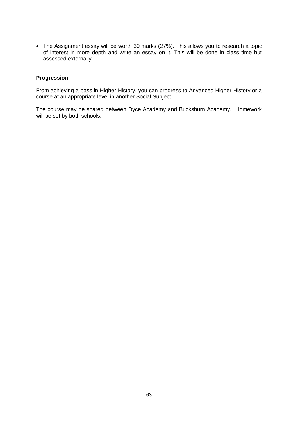• The Assignment essay will be worth 30 marks (27%). This allows you to research a topic of interest in more depth and write an essay on it. This will be done in class time but assessed externally.

### **Progression**

From achieving a pass in Higher History, you can progress to Advanced Higher History or a course at an appropriate level in another Social Subject.

The course may be shared between Dyce Academy and Bucksburn Academy. Homework will be set by both schools.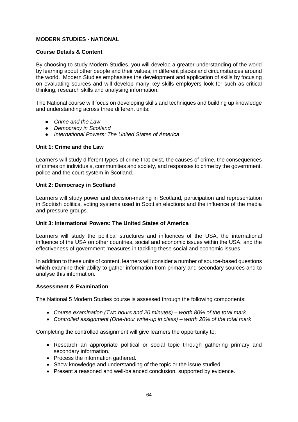# **MODERN STUDIES - NATIONAL**

# **Course Details & Content**

By choosing to study Modern Studies, you will develop a greater understanding of the world by learning about other people and their values, in different places and circumstances around the world. Modern Studies emphasises the development and application of skills by focusing on evaluating sources and will develop many key skills employers look for such as critical thinking, research skills and analysing information.

The National course will focus on developing skills and techniques and building up knowledge and understanding across three different units:

- *Crime and the Law*
- *Democracy in Scotland*
- *International Powers: The United States of America*

### **Unit 1: Crime and the Law**

Learners will study different types of crime that exist, the causes of crime, the consequences of crimes on individuals, communities and society, and responses to crime by the government, police and the court system in Scotland.

### **Unit 2: Democracy in Scotland**

Learners will study power and decision-making in Scotland, participation and representation in Scottish politics, voting systems used in Scottish elections and the influence of the media and pressure groups.

#### **Unit 3: International Powers: The United States of America**

Learners will study the political structures and influences of the USA, the international influence of the USA on other countries, social and economic issues within the USA, and the effectiveness of government measures in tackling these social and economic issues.

In addition to these units of content, learners will consider a number of source-based questions which examine their ability to gather information from primary and secondary sources and to analyse this information.

#### **Assessment & Examination**

The National 5 Modern Studies course is assessed through the following components:

- *Course examination (Two hours and 20 minutes) – worth 80% of the total mark*
- *Controlled assignment (One-hour write-up in class) – worth 20% of the total mark*

Completing the controlled assignment will give learners the opportunity to:

- Research an appropriate political or social topic through gathering primary and secondary information.
- Process the information gathered.
- Show knowledge and understanding of the topic or the issue studied.
- Present a reasoned and well-balanced conclusion, supported by evidence.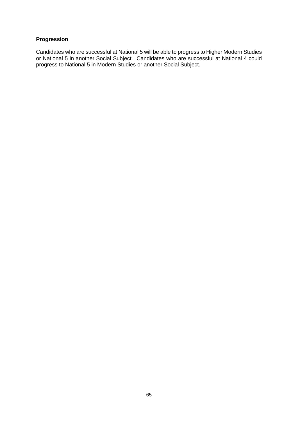# **Progression**

Candidates who are successful at National 5 will be able to progress to Higher Modern Studies or National 5 in another Social Subject. Candidates who are successful at National 4 could progress to National 5 in Modern Studies or another Social Subject.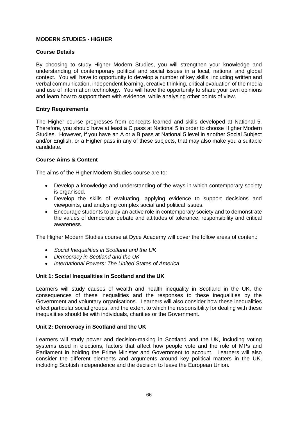# **MODERN STUDIES - HIGHER**

# **Course Details**

By choosing to study Higher Modern Studies, you will strengthen your knowledge and understanding of contemporary political and social issues in a local, national and global context. You will have to opportunity to develop a number of key skills, including written and verbal communication, independent learning, creative thinking, critical evaluation of the media and use of information technology. You will have the opportunity to share your own opinions and learn how to support them with evidence, while analysing other points of view.

# **Entry Requirements**

The Higher course progresses from concepts learned and skills developed at National 5. Therefore, you should have at least a C pass at National 5 in order to choose Higher Modern Studies. However, if you have an A or a B pass at National 5 level in another Social Subject and/or English, or a Higher pass in any of these subjects, that may also make you a suitable candidate.

# **Course Aims & Content**

The aims of the Higher Modern Studies course are to:

- Develop a knowledge and understanding of the ways in which contemporary society is organised.
- Develop the skills of evaluating, applying evidence to support decisions and viewpoints, and analysing complex social and political issues.
- Encourage students to play an active role in contemporary society and to demonstrate the values of democratic debate and attitudes of tolerance, responsibility and critical awareness.

The Higher Modern Studies course at Dyce Academy will cover the follow areas of content:

- *Social Inequalities in Scotland and the UK*
- *Democracy in Scotland and the UK*
- *International Powers: The United States of America*

# **Unit 1: Social Inequalities in Scotland and the UK**

Learners will study causes of wealth and health inequality in Scotland in the UK, the consequences of these inequalities and the responses to these inequalities by the Government and voluntary organisations. Learners will also consider how these inequalities effect particular social groups, and the extent to which the responsibility for dealing with these inequalities should lie with individuals, charities or the Government.

# **Unit 2: Democracy in Scotland and the UK**

Learners will study power and decision-making in Scotland and the UK, including voting systems used in elections, factors that affect how people vote and the role of MPs and Parliament in holding the Prime Minister and Government to account. Learners will also consider the different elements and arguments around key political matters in the UK, including Scottish independence and the decision to leave the European Union.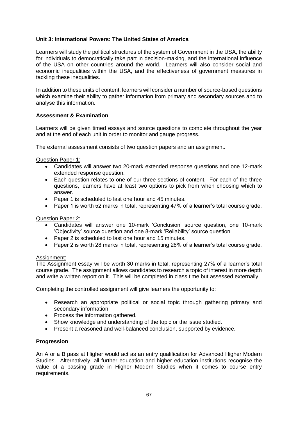# **Unit 3: International Powers: The United States of America**

Learners will study the political structures of the system of Government in the USA, the ability for individuals to democratically take part in decision-making, and the international influence of the USA on other countries around the world. Learners will also consider social and economic inequalities within the USA, and the effectiveness of government measures in tackling these inequalities.

In addition to these units of content, learners will consider a number of source-based questions which examine their ability to gather information from primary and secondary sources and to analyse this information.

# **Assessment & Examination**

Learners will be given timed essays and source questions to complete throughout the year and at the end of each unit in order to monitor and gauge progress.

The external assessment consists of two question papers and an assignment.

### Question Paper 1:

- Candidates will answer two 20-mark extended response questions and one 12-mark extended response question.
- Each question relates to one of our three sections of content. For each of the three questions, learners have at least two options to pick from when choosing which to answer.
- Paper 1 is scheduled to last one hour and 45 minutes.
- Paper 1 is worth 52 marks in total, representing 47% of a learner's total course grade.

Question Paper 2:

- Candidates will answer one 10-mark 'Conclusion' source question, one 10-mark 'Objectivity' source question and one 8-mark 'Reliability' source question.
- Paper 2 is scheduled to last one hour and 15 minutes.
- Paper 2 is worth 28 marks in total, representing 26% of a learner's total course grade.

#### Assignment:

The Assignment essay will be worth 30 marks in total, representing 27% of a learner's total course grade. The assignment allows candidates to research a topic of interest in more depth and write a written report on it. This will be completed in class time but assessed externally.

Completing the controlled assignment will give learners the opportunity to:

- Research an appropriate political or social topic through gathering primary and secondary information.
- Process the information gathered.
- Show knowledge and understanding of the topic or the issue studied.
- Present a reasoned and well-balanced conclusion, supported by evidence.

#### **Progression**

An A or a B pass at Higher would act as an entry qualification for Advanced Higher Modern Studies. Alternatively, all further education and higher education institutions recognise the value of a passing grade in Higher Modern Studies when it comes to course entry requirements.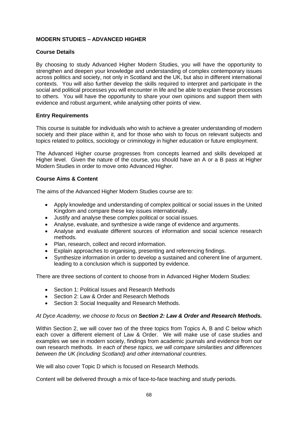# **MODERN STUDIES – ADVANCED HIGHER**

# **Course Details**

By choosing to study Advanced Higher Modern Studies, you will have the opportunity to strengthen and deepen your knowledge and understanding of complex contemporary issues across politics and society, not only in Scotland and the UK, but also in different international contexts. You will also further develop the skills required to interpret and participate in the social and political processes you will encounter in life and be able to explain these processes to others. You will have the opportunity to share your own opinions and support them with evidence and robust argument, while analysing other points of view.

# **Entry Requirements**

This course is suitable for individuals who wish to achieve a greater understanding of modern society and their place within it, and for those who wish to focus on relevant subjects and topics related to politics, sociology or criminology in higher education or future employment.

The Advanced Higher course progresses from concepts learned and skills developed at Higher level. Given the nature of the course, you should have an A or a B pass at Higher Modern Studies in order to move onto Advanced Higher.

# **Course Aims & Content**

The aims of the Advanced Higher Modern Studies course are to:

- Apply knowledge and understanding of complex political or social issues in the United Kingdom and compare these key issues internationally.
- Justify and analyse these complex political or social issues.
- Analyse, evaluate, and synthesize a wide range of evidence and arguments.
- Analyse and evaluate different sources of information and social science research methods.
- Plan, research, collect and record information.
- Explain approaches to organising, presenting and referencing findings.
- Synthesize information in order to develop a sustained and coherent line of argument, leading to a conclusion which is supported by evidence.

There are three sections of content to choose from in Advanced Higher Modern Studies:

- Section 1: Political Issues and Research Methods
- Section 2: Law & Order and Research Methods
- Section 3: Social Inequality and Research Methods.

#### *At Dyce Academy, we choose to focus on Section 2: Law & Order and Research Methods.*

Within Section 2, we will cover two of the three topics from Topics A, B and C below which each cover a different element of Law & Order. We will make use of case studies and examples we see in modern society, findings from academic journals and evidence from our own research methods. *In each of these topics, we will compare similarities and differences between the UK (including Scotland) and other international countries.*

We will also cover Topic D which is focused on Research Methods.

Content will be delivered through a mix of face-to-face teaching and study periods.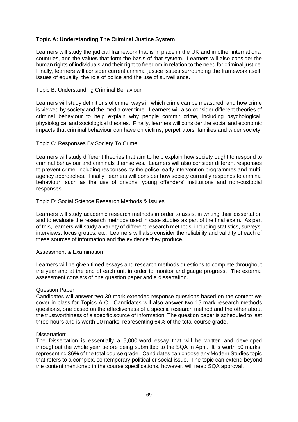# **Topic A: Understanding The Criminal Justice System**

Learners will study the judicial framework that is in place in the UK and in other international countries, and the values that form the basis of that system. Learners will also consider the human rights of individuals and their right to freedom in relation to the need for criminal justice. Finally, learners will consider current criminal justice issues surrounding the framework itself, issues of equality, the role of police and the use of surveillance.

#### Topic B: Understanding Criminal Behaviour

Learners will study definitions of crime, ways in which crime can be measured, and how crime is viewed by society and the media over time. Learners will also consider different theories of criminal behaviour to help explain why people commit crime, including psychological, physiological and sociological theories. Finally, learners will consider the social and economic impacts that criminal behaviour can have on victims, perpetrators, families and wider society.

### Topic C: Responses By Society To Crime

Learners will study different theories that aim to help explain how society ought to respond to criminal behaviour and criminals themselves. Learners will also consider different responses to prevent crime, including responses by the police, early intervention programmes and multiagency approaches. Finally, learners will consider how society currently responds to criminal behaviour, such as the use of prisons, young offenders' institutions and non-custodial responses.

### Topic D: Social Science Research Methods & Issues

Learners will study academic research methods in order to assist in writing their dissertation and to evaluate the research methods used in case studies as part of the final exam. As part of this, learners will study a variety of different research methods, including statistics, surveys, interviews, focus groups, etc. Learners will also consider the reliability and validity of each of these sources of information and the evidence they produce.

#### Assessment & Examination

Learners will be given timed essays and research methods questions to complete throughout the year and at the end of each unit in order to monitor and gauge progress. The external assessment consists of one question paper and a dissertation.

#### Question Paper:

Candidates will answer two 30-mark extended response questions based on the content we cover in class for Topics A-C. Candidates will also answer two 15-mark research methods questions, one based on the effectiveness of a specific research method and the other about the trustworthiness of a specific source of information. The question paper is scheduled to last three hours and is worth 90 marks, representing 64% of the total course grade.

#### Dissertation:

The Dissertation is essentially a 5,000-word essay that will be written and developed throughout the whole year before being submitted to the SQA in April. It is worth 50 marks, representing 36% of the total course grade. Candidates can choose any Modern Studies topic that refers to a complex, contemporary political or social issue. The topic can extend beyond the content mentioned in the course specifications, however, will need SQA approval.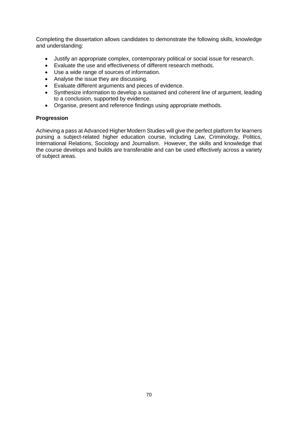Completing the dissertation allows candidates to demonstrate the following skills, knowledge and understanding:

- Justify an appropriate complex, contemporary political or social issue for research.
- Evaluate the use and effectiveness of different research methods.
- Use a wide range of sources of information.
- Analyse the issue they are discussing.
- Evaluate different arguments and pieces of evidence.
- Synthesize information to develop a sustained and coherent line of argument, leading to a conclusion, supported by evidence.
- Organise, present and reference findings using appropriate methods.

### **Progression**

Achieving a pass at Advanced Higher Modern Studies will give the perfect platform for learners pursing a subject-related higher education course, including Law, Criminology, Politics, International Relations, Sociology and Journalism. However, the skills and knowledge that the course develops and builds are transferable and can be used effectively across a variety of subject areas.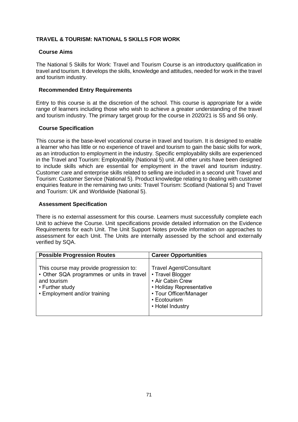# **TRAVEL & TOURISM: NATIONAL 5 SKILLS FOR WORK**

# **Course Aims**

The National 5 Skills for Work: Travel and Tourism Course is an introductory qualification in travel and tourism. It develops the skills, knowledge and attitudes, needed for work in the travel and tourism industry.

# **Recommended Entry Requirements**

Entry to this course is at the discretion of the school. This course is appropriate for a wide range of learners including those who wish to achieve a greater understanding of the travel and tourism industry. The primary target group for the course in 2020/21 is S5 and S6 only.

# **Course Specification**

This course is the base-level vocational course in travel and tourism. It is designed to enable a learner who has little or no experience of travel and tourism to gain the basic skills for work, as an introduction to employment in the industry. Specific employability skills are experienced in the Travel and Tourism: Employability (National 5) unit. All other units have been designed to include skills which are essential for employment in the travel and tourism industry. Customer care and enterprise skills related to selling are included in a second unit Travel and Tourism: Customer Service (National 5). Product knowledge relating to dealing with customer enquiries feature in the remaining two units: Travel Tourism: Scotland (National 5) and Travel and Tourism: UK and Worldwide (National 5).

# **Assessment Specification**

There is no external assessment for this course. Learners must successfully complete each Unit to achieve the Course. Unit specifications provide detailed information on the Evidence Requirements for each Unit. The Unit Support Notes provide information on approaches to assessment for each Unit. The Units are internally assessed by the school and externally verified by SQA.

| <b>Possible Progression Routes</b>                                                                                                                     | <b>Career Opportunities</b>                                                                                                                                      |
|--------------------------------------------------------------------------------------------------------------------------------------------------------|------------------------------------------------------------------------------------------------------------------------------------------------------------------|
| This course may provide progression to:<br>• Other SQA programmes or units in travel<br>and tourism<br>• Further study<br>• Employment and/or training | <b>Travel Agent/Consultant</b><br>• Travel Blogger<br>• Air Cabin Crew<br>• Holiday Representative<br>• Tour Officer/Manager<br>• Ecotourism<br>• Hotel Industry |